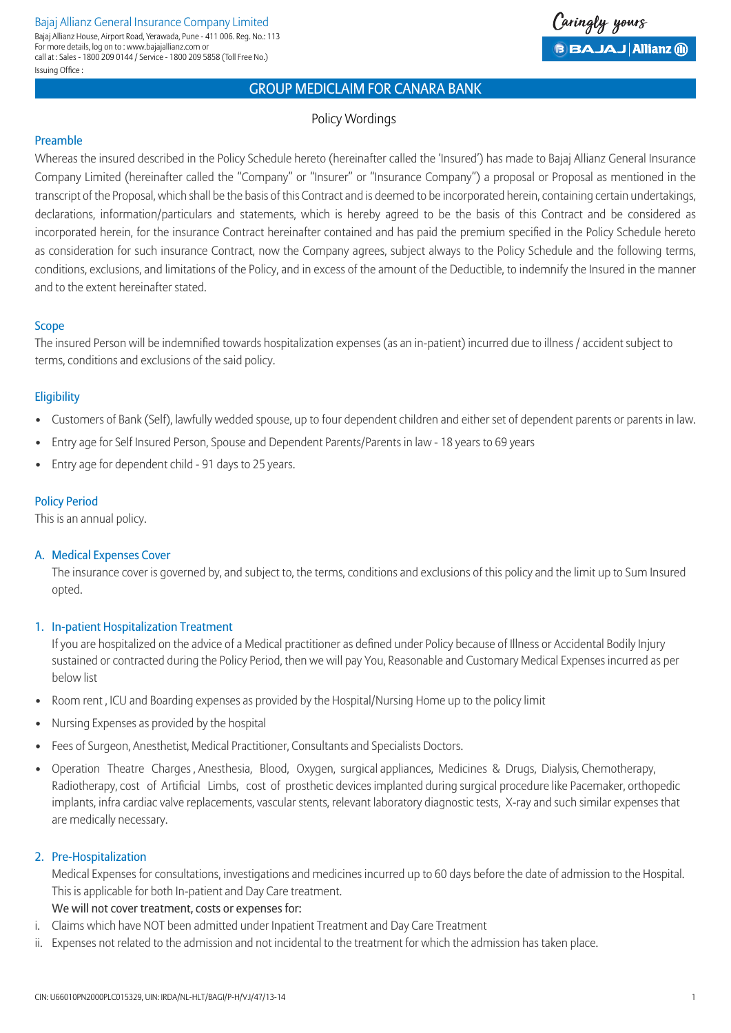#### Bajaj Allianz General Insurance Company Limited Issuing Office : Bajaj Allianz House, Airport Road, Yerawada, Pune - 411 006. Reg. No.: 113 For more details, log on to : www.bajajallianz.com or call at : Sales - 1800 209 0144 / Service - 1800 209 5858 (Toll Free No.)



# Group Mediclaim for Canara Bank

### Policy Wordings

#### Preamble

Whereas the insured described in the Policy Schedule hereto (hereinafter called the 'Insured') has made to Bajaj Allianz General Insurance Company Limited (hereinafter called the "Company" or "Insurer" or "Insurance Company") a proposal or Proposal as mentioned in the transcript of the Proposal, which shall be the basis of this Contract and is deemed to be incorporated herein, containing certain undertakings, declarations, information/particulars and statements, which is hereby agreed to be the basis of this Contract and be considered as incorporated herein, for the insurance Contract hereinafter contained and has paid the premium specified in the Policy Schedule hereto as consideration for such insurance Contract, now the Company agrees, subject always to the Policy Schedule and the following terms, conditions, exclusions, and limitations of the Policy, and in excess of the amount of the Deductible, to indemnify the Insured in the manner and to the extent hereinafter stated.

#### Scope

The insured Person will be indemnified towards hospitalization expenses (as an in-patient) incurred due to illness / accident subject to terms, conditions and exclusions of the said policy.

#### **Eligibility**

- Customers of Bank (Self), lawfully wedded spouse, up to four dependent children and either set of dependent parents or parents in law.
- Entry age for Self Insured Person, Spouse and Dependent Parents/Parents in law 18 years to 69 years
- Entry age for dependent child 91 days to 25 years.

#### Policy Period

This is an annual policy.

#### A. Medical Expenses Cover

 The insurance cover is governed by, and subject to, the terms, conditions and exclusions of this policy and the limit up to Sum Insured opted.

#### 1. In-patient Hospitalization Treatment

 If you are hospitalized on the advice of a Medical practitioner as defined under Policy because of Illness or Accidental Bodily Injury sustained or contracted during the Policy Period, then we will pay You, Reasonable and Customary Medical Expenses incurred as per below list

- Room rent , ICU and Boarding expenses as provided by the Hospital/Nursing Home up to the policy limit
- Nursing Expenses as provided by the hospital
- Fees of Surgeon, Anesthetist, Medical Practitioner, Consultants and Specialists Doctors.
- Operation Theatre Charges , Anesthesia, Blood, Oxygen, surgical appliances, Medicines & Drugs, Dialysis, Chemotherapy, Radiotherapy, cost of Artificial Limbs, cost of prosthetic devices implanted during surgical procedure like Pacemaker, orthopedic implants, infra cardiac valve replacements, vascular stents, relevant laboratory diagnostic tests, X-ray and such similar expenses that are medically necessary.

#### 2. Pre-Hospitalization

 Medical Expenses for consultations, investigations and medicines incurred up to 60 days before the date of admission to the Hospital. This is applicable for both In-patient and Day Care treatment.

#### We will not cover treatment, costs or expenses for:

- i. Claims which have NOT been admitted under Inpatient Treatment and Day Care Treatment
- ii. Expenses not related to the admission and not incidental to the treatment for which the admission has taken place.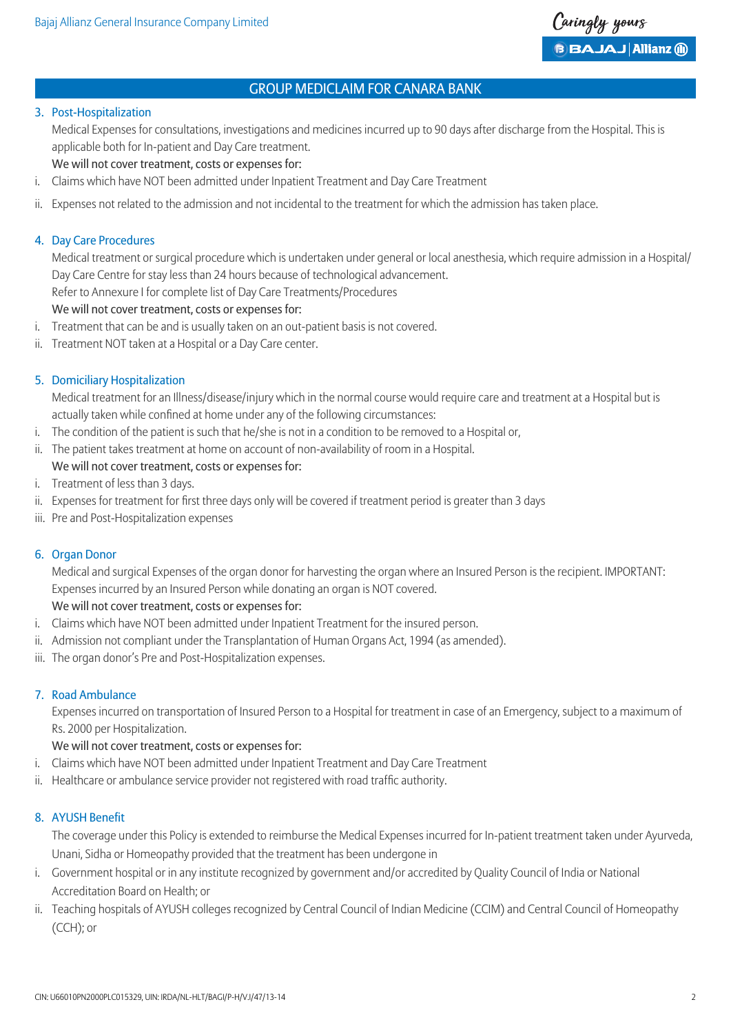

#### 3. Post-Hospitalization

 Medical Expenses for consultations, investigations and medicines incurred up to 90 days after discharge from the Hospital. This is applicable both for In-patient and Day Care treatment.

We will not cover treatment, costs or expenses for:

- i. Claims which have NOT been admitted under Inpatient Treatment and Day Care Treatment
- ii. Expenses not related to the admission and not incidental to the treatment for which the admission has taken place.

### 4. Day Care Procedures

 Medical treatment or surgical procedure which is undertaken under general or local anesthesia, which require admission in a Hospital/ Day Care Centre for stay less than 24 hours because of technological advancement. Refer to Annexure I for complete list of Day Care Treatments/Procedures

We will not cover treatment, costs or expenses for:

- i. Treatment that can be and is usually taken on an out-patient basis is not covered.
- ii. Treatment NOT taken at a Hospital or a Day Care center.

# 5. Domiciliary Hospitalization

 Medical treatment for an Illness/disease/injury which in the normal course would require care and treatment at a Hospital but is actually taken while confined at home under any of the following circumstances:

- i. The condition of the patient is such that he/she is not in a condition to be removed to a Hospital or,
- ii. The patient takes treatment at home on account of non-availability of room in a Hospital.

# We will not cover treatment, costs or expenses for:

- i. Treatment of less than 3 days.
- ii. Expenses for treatment for first three days only will be covered if treatment period is greater than 3 days
- iii. Pre and Post-Hospitalization expenses

#### 6. Organ Donor

 Medical and surgical Expenses of the organ donor for harvesting the organ where an Insured Person is the recipient. IMPORTANT: Expenses incurred by an Insured Person while donating an organ is NOT covered.

#### We will not cover treatment, costs or expenses for:

- i. Claims which have NOT been admitted under Inpatient Treatment for the insured person.
- ii. Admission not compliant under the Transplantation of Human Organs Act, 1994 (as amended).
- iii. The organ donor's Pre and Post-Hospitalization expenses.

#### 7. Road Ambulance

 Expenses incurred on transportation of Insured Person to a Hospital for treatment in case of an Emergency, subject to a maximum of Rs. 2000 per Hospitalization.

### We will not cover treatment, costs or expenses for:

- i. Claims which have NOT been admitted under Inpatient Treatment and Day Care Treatment
- ii. Healthcare or ambulance service provider not registered with road traffic authority.

# 8. AYUSH Benefit

 The coverage under this Policy is extended to reimburse the Medical Expenses incurred for In-patient treatment taken under Ayurveda, Unani, Sidha or Homeopathy provided that the treatment has been undergone in

- i. Government hospital or in any institute recognized by government and/or accredited by Quality Council of India or National Accreditation Board on Health; or
- ii. Teaching hospitals of AYUSH colleges recognized by Central Council of Indian Medicine (CCIM) and Central Council of Homeopathy (CCH); or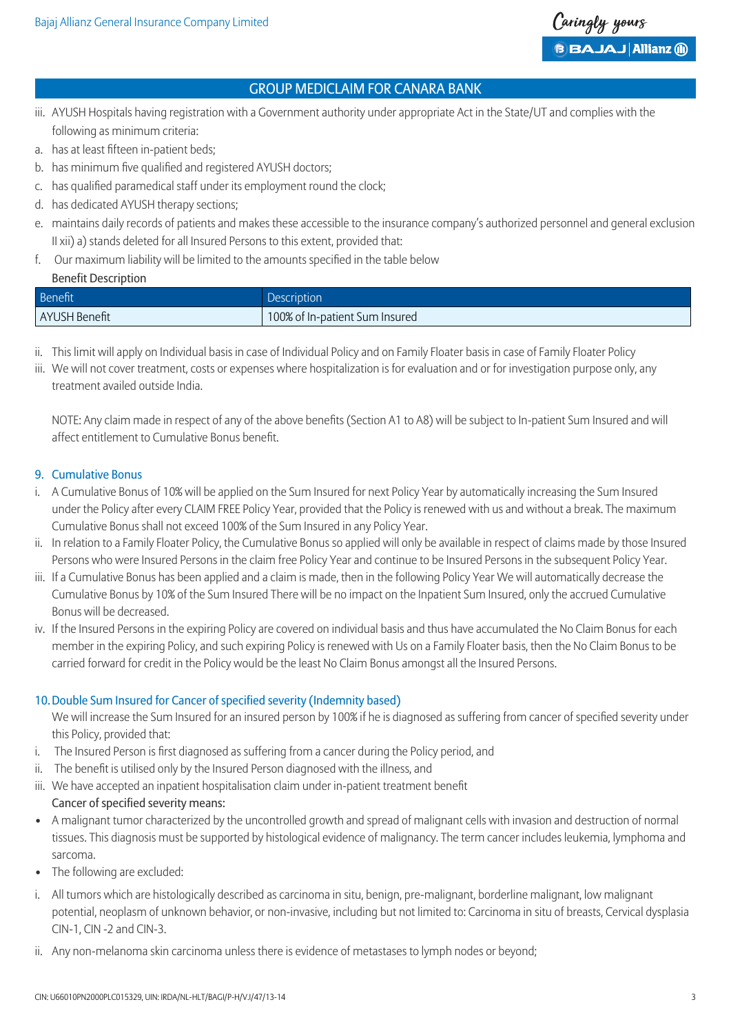

- iii. AYUSH Hospitals having registration with a Government authority under appropriate Act in the State/UT and complies with the following as minimum criteria:
- a. has at least fifteen in-patient beds;
- b. has minimum five qualified and registered AYUSH doctors;
- c. has qualified paramedical staff under its employment round the clock;
- d. has dedicated AYUSH therapy sections;
- e. maintains daily records of patients and makes these accessible to the insurance company's authorized personnel and general exclusion II xii) a) stands deleted for all Insured Persons to this extent, provided that:
- f. Our maximum liability will be limited to the amounts specified in the table below

#### Benefit Description

| Benefit       | <b>Description</b>             |
|---------------|--------------------------------|
| AYUSH Benefit | 100% of In-patient Sum Insured |

- ii. This limit will apply on Individual basis in case of Individual Policy and on Family Floater basis in case of Family Floater Policy
- iii. We will not cover treatment, costs or expenses where hospitalization is for evaluation and or for investigation purpose only, any treatment availed outside India.

 NOTE: Any claim made in respect of any of the above benefits (Section A1 to A8) will be subject to In-patient Sum Insured and will affect entitlement to Cumulative Bonus benefit.

### 9. Cumulative Bonus

- i. A Cumulative Bonus of 10% will be applied on the Sum Insured for next Policy Year by automatically increasing the Sum Insured under the Policy after every CLAIM FREE Policy Year, provided that the Policy is renewed with us and without a break. The maximum Cumulative Bonus shall not exceed 100% of the Sum Insured in any Policy Year.
- ii. In relation to a Family Floater Policy, the Cumulative Bonus so applied will only be available in respect of claims made by those Insured Persons who were Insured Persons in the claim free Policy Year and continue to be Insured Persons in the subsequent Policy Year.
- iii. If a Cumulative Bonus has been applied and a claim is made, then in the following Policy Year We will automatically decrease the Cumulative Bonus by 10% of the Sum Insured There will be no impact on the Inpatient Sum Insured, only the accrued Cumulative Bonus will be decreased.
- iv. If the Insured Persons in the expiring Policy are covered on individual basis and thus have accumulated the No Claim Bonus for each member in the expiring Policy, and such expiring Policy is renewed with Us on a Family Floater basis, then the No Claim Bonus to be carried forward for credit in the Policy would be the least No Claim Bonus amongst all the Insured Persons.

# 10.Double Sum Insured for Cancer of specified severity (Indemnity based)

- We will increase the Sum Insured for an insured person by 100% if he is diagnosed as suffering from cancer of specified severity under this Policy, provided that:
- i. The Insured Person is first diagnosed as suffering from a cancer during the Policy period, and
- ii. The benefit is utilised only by the Insured Person diagnosed with the illness, and
- iii. We have accepted an inpatient hospitalisation claim under in-patient treatment benefit Cancer of specified severity means:
- A malignant tumor characterized by the uncontrolled growth and spread of malignant cells with invasion and destruction of normal tissues. This diagnosis must be supported by histological evidence of malignancy. The term cancer includes leukemia, lymphoma and sarcoma.
- The following are excluded:
- i. All tumors which are histologically described as carcinoma in situ, benign, pre-malignant, borderline malignant, low malignant potential, neoplasm of unknown behavior, or non-invasive, including but not limited to: Carcinoma in situ of breasts, Cervical dysplasia CIN-1, CIN -2 and CIN-3.
- ii. Any non-melanoma skin carcinoma unless there is evidence of metastases to lymph nodes or beyond;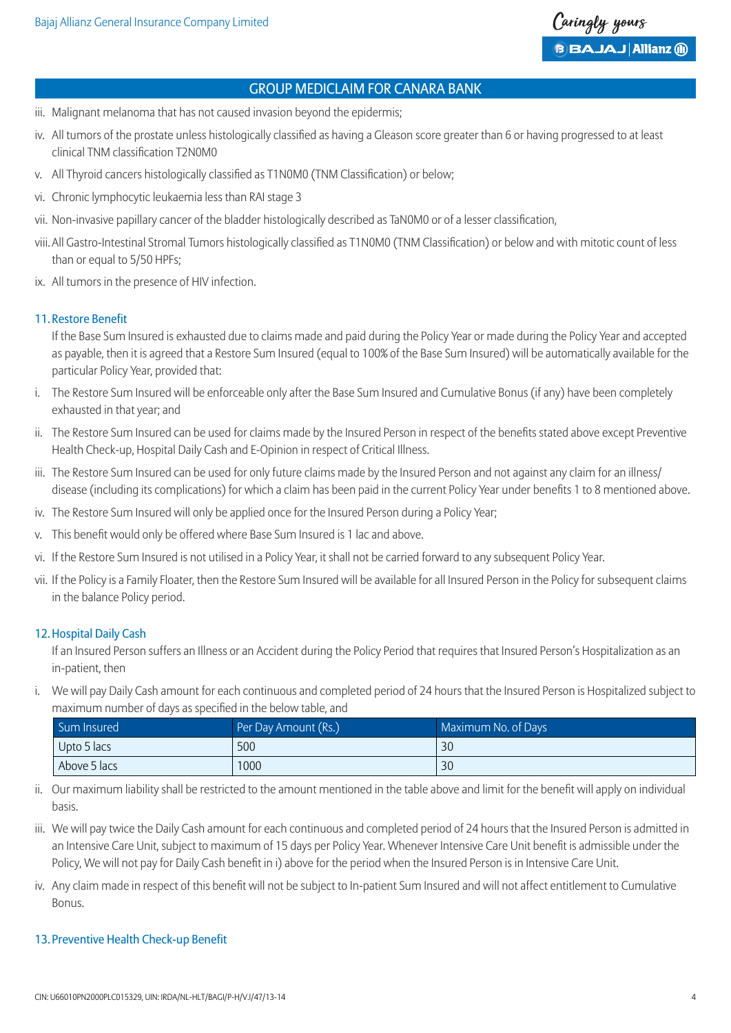

- iii. Malignant melanoma that has not caused invasion beyond the epidermis;
- iv. All tumors of the prostate unless histologically classified as having a Gleason score greater than 6 or having progressed to at least clinical TNM classification T2N0M0
- v. All Thyroid cancers histologically classified as T1N0M0 (TNM Classification) or below;
- vi. Chronic lymphocytic leukaemia less than RAI stage 3
- vii. Non-invasive papillary cancer of the bladder histologically described as TaN0M0 or of a lesser classification,
- viii. All Gastro-Intestinal Stromal Tumors histologically classified as T1N0M0 (TNM Classification) or below and with mitotic count of less than or equal to 5/50 HPFs;
- ix. All tumors in the presence of HIV infection.

#### 11.Restore Benefit

 If the Base Sum Insured is exhausted due to claims made and paid during the Policy Year or made during the Policy Year and accepted as payable, then it is agreed that a Restore Sum Insured (equal to 100% of the Base Sum Insured) will be automatically available for the particular Policy Year, provided that:

- i. The Restore Sum Insured will be enforceable only after the Base Sum Insured and Cumulative Bonus (if any) have been completely exhausted in that year; and
- ii. The Restore Sum Insured can be used for claims made by the Insured Person in respect of the benefits stated above except Preventive Health Check-up, Hospital Daily Cash and E-Opinion in respect of Critical Illness.
- iii. The Restore Sum Insured can be used for only future claims made by the Insured Person and not against any claim for an illness/ disease (including its complications) for which a claim has been paid in the current Policy Year under benefits 1 to 8 mentioned above.
- iv. The Restore Sum Insured will only be applied once for the Insured Person during a Policy Year;
- v. This benefit would only be offered where Base Sum Insured is 1 lac and above.
- vi. If the Restore Sum Insured is not utilised in a Policy Year, it shall not be carried forward to any subsequent Policy Year.
- vii. If the Policy is a Family Floater, then the Restore Sum Insured will be available for all Insured Person in the Policy for subsequent claims in the balance Policy period.

#### 12.Hospital Daily Cash

 If an Insured Person suffers an Illness or an Accident during the Policy Period that requires that Insured Person's Hospitalization as an in-patient, then

i. We will pay Daily Cash amount for each continuous and completed period of 24 hours that the Insured Person is Hospitalized subject to maximum number of days as specified in the below table, and

| Sum Insured  | Per Day Amount (Rs.) | Maximum No. of Days |
|--------------|----------------------|---------------------|
| Upto 5 lacs  | 500                  | 30                  |
| Above 5 lacs | 1000                 | 30                  |

ii. Our maximum liability shall be restricted to the amount mentioned in the table above and limit for the benefit will apply on individual basis.

iii. We will pay twice the Daily Cash amount for each continuous and completed period of 24 hours that the Insured Person is admitted in an Intensive Care Unit, subject to maximum of 15 days per Policy Year. Whenever Intensive Care Unit benefit is admissible under the Policy, We will not pay for Daily Cash benefit in i) above for the period when the Insured Person is in Intensive Care Unit.

iv. Any claim made in respect of this benefit will not be subject to In-patient Sum Insured and will not affect entitlement to Cumulative Bonus.

# 13.Preventive Health Check-up Benefit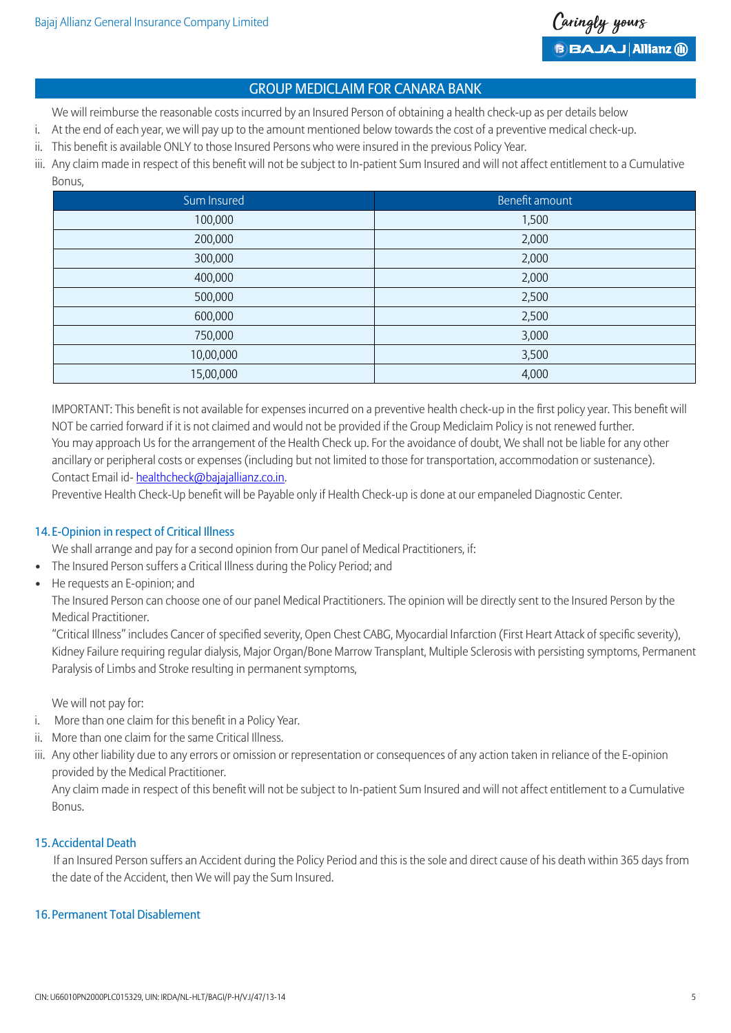

We will reimburse the reasonable costs incurred by an Insured Person of obtaining a health check-up as per details below

- i. At the end of each year, we will pay up to the amount mentioned below towards the cost of a preventive medical check-up.
- ii. This benefit is available ONLY to those Insured Persons who were insured in the previous Policy Year.
- iii. Any claim made in respect of this benefit will not be subject to In-patient Sum Insured and will not affect entitlement to a Cumulative Bonus,

| Sum Insured | Benefit amount |
|-------------|----------------|
| 100,000     | 1,500          |
| 200,000     | 2,000          |
| 300,000     | 2,000          |
| 400,000     | 2,000          |
| 500,000     | 2,500          |
| 600,000     | 2,500          |
| 750,000     | 3,000          |
| 10,00,000   | 3,500          |
| 15,00,000   | 4,000          |

 IMPORTANT: This benefit is not available for expenses incurred on a preventive health check-up in the first policy year. This benefit will NOT be carried forward if it is not claimed and would not be provided if the Group Mediclaim Policy is not renewed further. You may approach Us for the arrangement of the Health Check up. For the avoidance of doubt, We shall not be liable for any other ancillary or peripheral costs or expenses (including but not limited to those for transportation, accommodation or sustenance). Contact Email id- healthcheck@bajajallianz.co.in.

Preventive Health Check-Up benefit will be Payable only if Health Check-up is done at our empaneled Diagnostic Center.

#### 14. E-Opinion in respect of Critical Illness

We shall arrange and pay for a second opinion from Our panel of Medical Practitioners, if:

- The Insured Person suffers a Critical Illness during the Policy Period; and
- He requests an E-opinion; and

 The Insured Person can choose one of our panel Medical Practitioners. The opinion will be directly sent to the Insured Person by the Medical Practitioner.

 "Critical Illness" includes Cancer of specified severity, Open Chest CABG, Myocardial Infarction (First Heart Attack of specific severity), Kidney Failure requiring regular dialysis, Major Organ/Bone Marrow Transplant, Multiple Sclerosis with persisting symptoms, Permanent Paralysis of Limbs and Stroke resulting in permanent symptoms,

We will not pay for:

- i. More than one claim for this benefit in a Policy Year.
- ii. More than one claim for the same Critical Illness.
- iii. Any other liability due to any errors or omission or representation or consequences of any action taken in reliance of the E-opinion provided by the Medical Practitioner.

 Any claim made in respect of this benefit will not be subject to In-patient Sum Insured and will not affect entitlement to a Cumulative Bonus.

#### 15.Accidental Death

 If an Insured Person suffers an Accident during the Policy Period and this is the sole and direct cause of his death within 365 days from the date of the Accident, then We will pay the Sum Insured.

#### 16.Permanent Total Disablement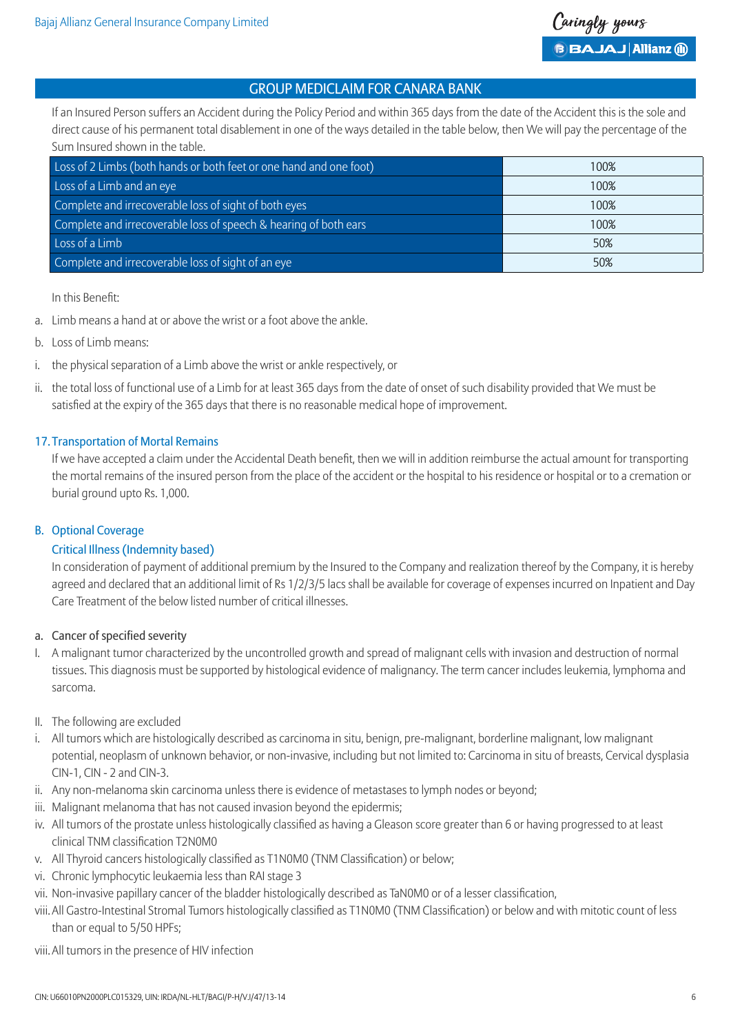If an Insured Person suffers an Accident during the Policy Period and within 365 days from the date of the Accident this is the sole and direct cause of his permanent total disablement in one of the ways detailed in the table below, then We will pay the percentage of the Sum Insured shown in the table.

| Loss of 2 Limbs (both hands or both feet or one hand and one foot) | 100% |
|--------------------------------------------------------------------|------|
| Loss of a Limb and an eye                                          | 100% |
| Complete and irrecoverable loss of sight of both eyes              | 100% |
| Complete and irrecoverable loss of speech & hearing of both ears   | 100% |
| Loss of a Limb                                                     | 50%  |
| Complete and irrecoverable loss of sight of an eye                 | 50%  |

In this Benefit:

- a. Limb means a hand at or above the wrist or a foot above the ankle.
- b. Loss of Limb means:
- i. the physical separation of a Limb above the wrist or ankle respectively, or
- ii. the total loss of functional use of a Limb for at least 365 days from the date of onset of such disability provided that We must be satisfied at the expiry of the 365 days that there is no reasonable medical hope of improvement.

### 17.Transportation of Mortal Remains

 If we have accepted a claim under the Accidental Death benefit, then we will in addition reimburse the actual amount for transporting the mortal remains of the insured person from the place of the accident or the hospital to his residence or hospital or to a cremation or burial ground upto Rs. 1,000.

# B. Optional Coverage

# Critical Illness (Indemnity based)

 In consideration of payment of additional premium by the Insured to the Company and realization thereof by the Company, it is hereby agreed and declared that an additional limit of Rs 1/2/3/5 lacs shall be available for coverage of expenses incurred on Inpatient and Day Care Treatment of the below listed number of critical illnesses.

#### a. Cancer of specified severity

- I. A malignant tumor characterized by the uncontrolled growth and spread of malignant cells with invasion and destruction of normal tissues. This diagnosis must be supported by histological evidence of malignancy. The term cancer includes leukemia, lymphoma and sarcoma.
- II. The following are excluded
- i. All tumors which are histologically described as carcinoma in situ, benign, pre-malignant, borderline malignant, low malignant potential, neoplasm of unknown behavior, or non-invasive, including but not limited to: Carcinoma in situ of breasts, Cervical dysplasia CIN-1, CIN - 2 and CIN-3.
- ii. Any non-melanoma skin carcinoma unless there is evidence of metastases to lymph nodes or beyond;
- iii. Malignant melanoma that has not caused invasion beyond the epidermis;
- iv. All tumors of the prostate unless histologically classified as having a Gleason score greater than 6 or having progressed to at least clinical TNM classification T2N0M0
- v. All Thyroid cancers histologically classified as T1N0M0 (TNM Classification) or below;
- vi. Chronic lymphocytic leukaemia less than RAI stage 3
- vii. Non-invasive papillary cancer of the bladder histologically described as TaN0M0 or of a lesser classification,
- viii. All Gastro-Intestinal Stromal Tumors histologically classified as T1N0M0 (TNM Classification) or below and with mitotic count of less than or equal to 5/50 HPFs;
- viii.All tumors in the presence of HIV infection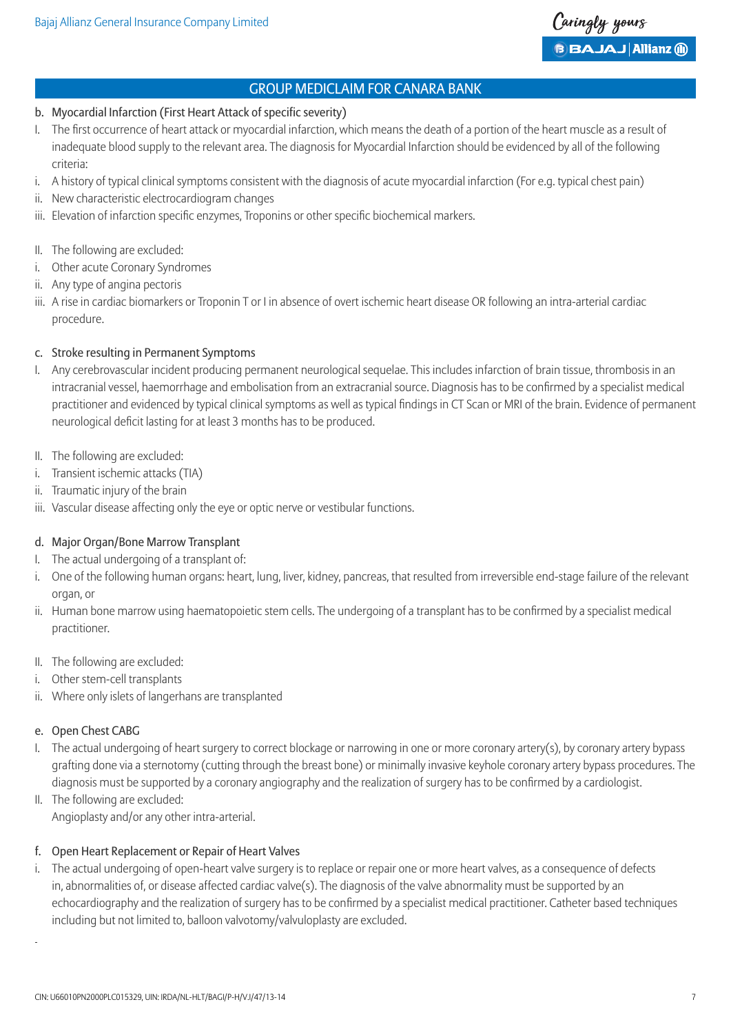- b. Myocardial Infarction (First Heart Attack of specific severity)
- I. The first occurrence of heart attack or myocardial infarction, which means the death of a portion of the heart muscle as a result of inadequate blood supply to the relevant area. The diagnosis for Myocardial Infarction should be evidenced by all of the following criteria:
- i. A history of typical clinical symptoms consistent with the diagnosis of acute myocardial infarction (For e.g. typical chest pain)
- ii. New characteristic electrocardiogram changes
- iii. Elevation of infarction specific enzymes, Troponins or other specific biochemical markers.
- II. The following are excluded:
- i. Other acute Coronary Syndromes
- ii. Any type of angina pectoris
- iii. A rise in cardiac biomarkers or Troponin T or I in absence of overt ischemic heart disease OR following an intra-arterial cardiac procedure.

### c. Stroke resulting in Permanent Symptoms

- I. Any cerebrovascular incident producing permanent neurological sequelae. This includes infarction of brain tissue, thrombosis in an intracranial vessel, haemorrhage and embolisation from an extracranial source. Diagnosis has to be confirmed by a specialist medical practitioner and evidenced by typical clinical symptoms as well as typical findings in CT Scan or MRI of the brain. Evidence of permanent neurological deficit lasting for at least 3 months has to be produced.
- II. The following are excluded:
- i. Transient ischemic attacks (TIA)
- ii. Traumatic injury of the brain
- iii. Vascular disease affecting only the eye or optic nerve or vestibular functions.

#### d. Major Organ/Bone Marrow Transplant

- I. The actual undergoing of a transplant of:
- i. One of the following human organs: heart, lung, liver, kidney, pancreas, that resulted from irreversible end-stage failure of the relevant organ, or
- ii. Human bone marrow using haematopoietic stem cells. The undergoing of a transplant has to be confirmed by a specialist medical practitioner.
- II. The following are excluded:
- i. Other stem-cell transplants
- ii. Where only islets of langerhans are transplanted

# e. Open Chest CABG

- I. The actual undergoing of heart surgery to correct blockage or narrowing in one or more coronary artery(s), by coronary artery bypass grafting done via a sternotomy (cutting through the breast bone) or minimally invasive keyhole coronary artery bypass procedures. The diagnosis must be supported by a coronary angiography and the realization of surgery has to be confirmed by a cardiologist.
- II. The following are excluded: Angioplasty and/or any other intra-arterial.

# f. Open Heart Replacement or Repair of Heart Valves

i. The actual undergoing of open-heart valve surgery is to replace or repair one or more heart valves, as a consequence of defects in, abnormalities of, or disease affected cardiac valve(s). The diagnosis of the valve abnormality must be supported by an echocardiography and the realization of surgery has to be confirmed by a specialist medical practitioner. Catheter based techniques including but not limited to, balloon valvotomy/valvuloplasty are excluded.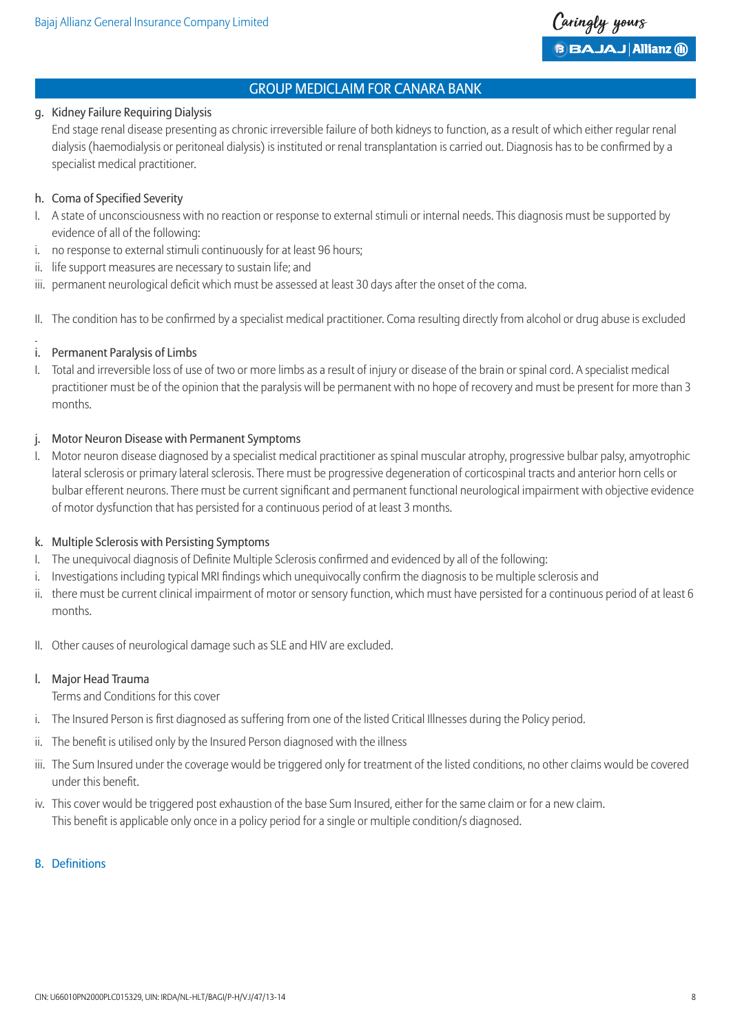#### g. Kidney Failure Requiring Dialysis

 End stage renal disease presenting as chronic irreversible failure of both kidneys to function, as a result of which either regular renal dialysis (haemodialysis or peritoneal dialysis) is instituted or renal transplantation is carried out. Diagnosis has to be confirmed by a specialist medical practitioner.

# h. Coma of Specified Severity

- I. A state of unconsciousness with no reaction or response to external stimuli or internal needs. This diagnosis must be supported by evidence of all of the following:
- i. no response to external stimuli continuously for at least 96 hours;
- ii. life support measures are necessary to sustain life; and
- iii. permanent neurological deficit which must be assessed at least 30 days after the onset of the coma.
- II. The condition has to be confirmed by a specialist medical practitioner. Coma resulting directly from alcohol or drug abuse is excluded

### i. Permanent Paralysis of Limbs

I. Total and irreversible loss of use of two or more limbs as a result of injury or disease of the brain or spinal cord. A specialist medical practitioner must be of the opinion that the paralysis will be permanent with no hope of recovery and must be present for more than 3 months.

#### j. Motor Neuron Disease with Permanent Symptoms

I. Motor neuron disease diagnosed by a specialist medical practitioner as spinal muscular atrophy, progressive bulbar palsy, amyotrophic lateral sclerosis or primary lateral sclerosis. There must be progressive degeneration of corticospinal tracts and anterior horn cells or bulbar efferent neurons. There must be current significant and permanent functional neurological impairment with objective evidence of motor dysfunction that has persisted for a continuous period of at least 3 months.

#### k. Multiple Sclerosis with Persisting Symptoms

- I. The unequivocal diagnosis of Definite Multiple Sclerosis confirmed and evidenced by all of the following:
- i. Investigations including typical MRI findings which unequivocally confirm the diagnosis to be multiple sclerosis and
- ii. there must be current clinical impairment of motor or sensory function, which must have persisted for a continuous period of at least 6 months.
- II. Other causes of neurological damage such as SLE and HIV are excluded.

#### l. Major Head Trauma

Terms and Conditions for this cover

- i. The Insured Person is first diagnosed as suffering from one of the listed Critical Illnesses during the Policy period.
- ii. The benefit is utilised only by the Insured Person diagnosed with the illness
- iii. The Sum Insured under the coverage would be triggered only for treatment of the listed conditions, no other claims would be covered under this benefit.
- iv. This cover would be triggered post exhaustion of the base Sum Insured, either for the same claim or for a new claim. This benefit is applicable only once in a policy period for a single or multiple condition/s diagnosed.

# B. Definitions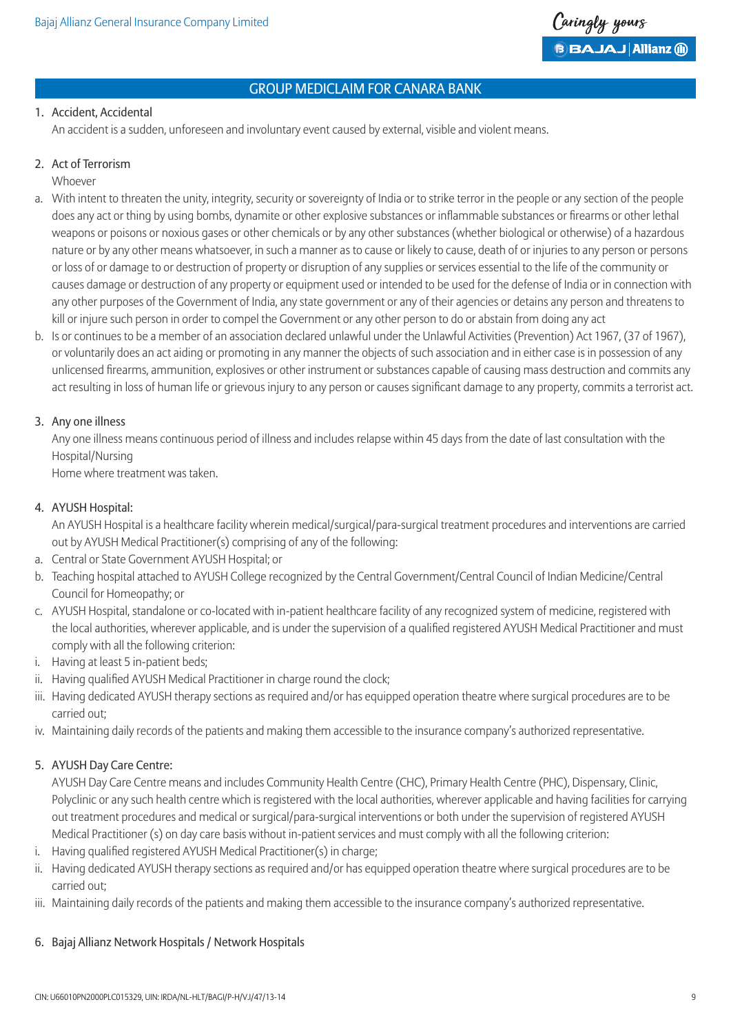

### 1. Accident, Accidental

An accident is a sudden, unforeseen and involuntary event caused by external, visible and violent means.

#### 2. Act of Terrorism

Whoever

- a. With intent to threaten the unity, integrity, security or sovereignty of India or to strike terror in the people or any section of the people does any act or thing by using bombs, dynamite or other explosive substances or inflammable substances or firearms or other lethal weapons or poisons or noxious gases or other chemicals or by any other substances (whether biological or otherwise) of a hazardous nature or by any other means whatsoever, in such a manner as to cause or likely to cause, death of or injuries to any person or persons or loss of or damage to or destruction of property or disruption of any supplies or services essential to the life of the community or causes damage or destruction of any property or equipment used or intended to be used for the defense of India or in connection with any other purposes of the Government of India, any state government or any of their agencies or detains any person and threatens to kill or injure such person in order to compel the Government or any other person to do or abstain from doing any act
- b. Is or continues to be a member of an association declared unlawful under the Unlawful Activities (Prevention) Act 1967, (37 of 1967), or voluntarily does an act aiding or promoting in any manner the objects of such association and in either case is in possession of any unlicensed firearms, ammunition, explosives or other instrument or substances capable of causing mass destruction and commits any act resulting in loss of human life or grievous injury to any person or causes significant damage to any property, commits a terrorist act.

### 3. Any one illness

 Any one illness means continuous period of illness and includes relapse within 45 days from the date of last consultation with the Hospital/Nursing

Home where treatment was taken.

### 4. AYUSH Hospital:

 An AYUSH Hospital is a healthcare facility wherein medical/surgical/para-surgical treatment procedures and interventions are carried out by AYUSH Medical Practitioner(s) comprising of any of the following:

- a. Central or State Government AYUSH Hospital; or
- b. Teaching hospital attached to AYUSH College recognized by the Central Government/Central Council of Indian Medicine/Central Council for Homeopathy; or
- c. AYUSH Hospital, standalone or co-located with in-patient healthcare facility of any recognized system of medicine, registered with the local authorities, wherever applicable, and is under the supervision of a qualified registered AYUSH Medical Practitioner and must comply with all the following criterion:
- i. Having at least 5 in-patient beds;
- ii. Having qualified AYUSH Medical Practitioner in charge round the clock;
- iii. Having dedicated AYUSH therapy sections as required and/or has equipped operation theatre where surgical procedures are to be carried out;
- iv. Maintaining daily records of the patients and making them accessible to the insurance company's authorized representative.

# 5. AYUSH Day Care Centre:

 AYUSH Day Care Centre means and includes Community Health Centre (CHC), Primary Health Centre (PHC), Dispensary, Clinic, Polyclinic or any such health centre which is registered with the local authorities, wherever applicable and having facilities for carrying out treatment procedures and medical or surgical/para-surgical interventions or both under the supervision of registered AYUSH Medical Practitioner (s) on day care basis without in-patient services and must comply with all the following criterion:

- i. Having qualified registered AYUSH Medical Practitioner(s) in charge;
- ii. Having dedicated AYUSH therapy sections as required and/or has equipped operation theatre where surgical procedures are to be carried out;
- iii. Maintaining daily records of the patients and making them accessible to the insurance company's authorized representative.

# 6. Bajaj Allianz Network Hospitals / Network Hospitals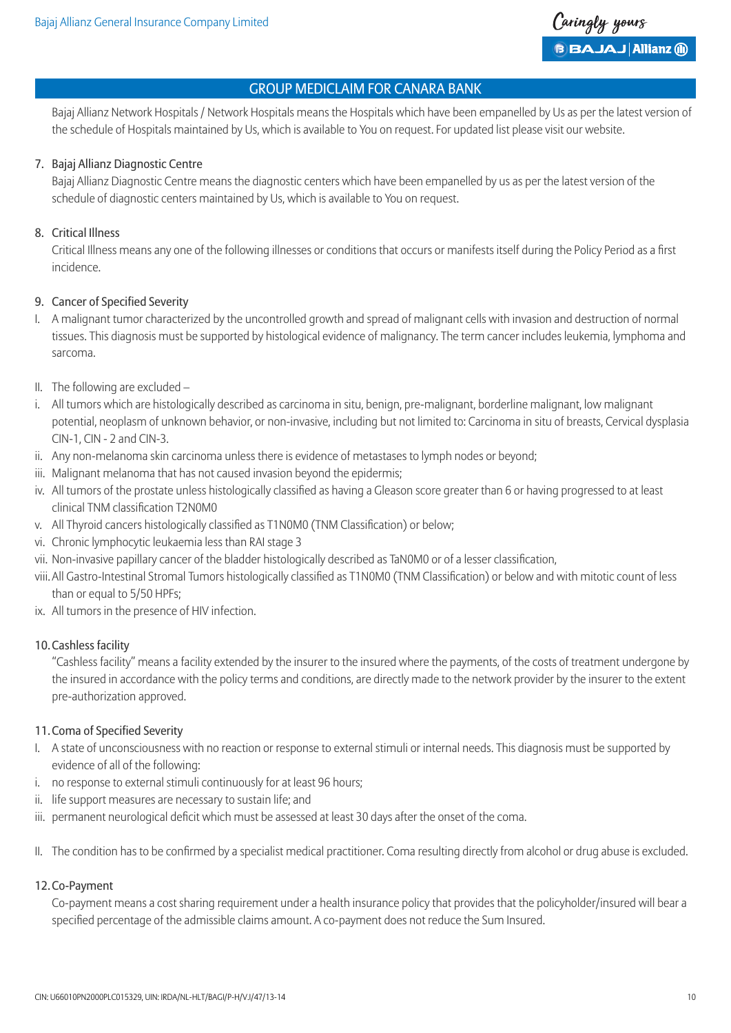Bajaj Allianz Network Hospitals / Network Hospitals means the Hospitals which have been empanelled by Us as per the latest version of the schedule of Hospitals maintained by Us, which is available to You on request. For updated list please visit our website.

### 7. Bajaj Allianz Diagnostic Centre

 Bajaj Allianz Diagnostic Centre means the diagnostic centers which have been empanelled by us as per the latest version of the schedule of diagnostic centers maintained by Us, which is available to You on request.

### 8. Critical Illness

 Critical Illness means any one of the following illnesses or conditions that occurs or manifests itself during the Policy Period as a first incidence.

### 9. Cancer of Specified Severity

- I. A malignant tumor characterized by the uncontrolled growth and spread of malignant cells with invasion and destruction of normal tissues. This diagnosis must be supported by histological evidence of malignancy. The term cancer includes leukemia, lymphoma and sarcoma.
- II. The following are excluded –
- i. All tumors which are histologically described as carcinoma in situ, benign, pre-malignant, borderline malignant, low malignant potential, neoplasm of unknown behavior, or non-invasive, including but not limited to: Carcinoma in situ of breasts, Cervical dysplasia CIN-1, CIN - 2 and CIN-3.
- ii. Any non-melanoma skin carcinoma unless there is evidence of metastases to lymph nodes or beyond;
- iii. Malignant melanoma that has not caused invasion beyond the epidermis;
- iv. All tumors of the prostate unless histologically classified as having a Gleason score greater than 6 or having progressed to at least clinical TNM classification T2N0M0
- v. All Thyroid cancers histologically classified as T1N0M0 (TNM Classification) or below;
- vi. Chronic lymphocytic leukaemia less than RAI stage 3
- vii. Non-invasive papillary cancer of the bladder histologically described as TaN0M0 or of a lesser classification,
- viii. All Gastro-Intestinal Stromal Tumors histologically classified as T1N0M0 (TNM Classification) or below and with mitotic count of less than or equal to 5/50 HPFs;
- ix. All tumors in the presence of HIV infection.

# 10.Cashless facility

 "Cashless facility" means a facility extended by the insurer to the insured where the payments, of the costs of treatment undergone by the insured in accordance with the policy terms and conditions, are directly made to the network provider by the insurer to the extent pre-authorization approved.

#### 11.Coma of Specified Severity

- I. A state of unconsciousness with no reaction or response to external stimuli or internal needs. This diagnosis must be supported by evidence of all of the following:
- i. no response to external stimuli continuously for at least 96 hours;
- ii. life support measures are necessary to sustain life; and
- iii. permanent neurological deficit which must be assessed at least 30 days after the onset of the coma.
- II. The condition has to be confirmed by a specialist medical practitioner. Coma resulting directly from alcohol or drug abuse is excluded.

#### 12.Co-Payment

 Co-payment means a cost sharing requirement under a health insurance policy that provides that the policyholder/insured will bear a specified percentage of the admissible claims amount. A co-payment does not reduce the Sum Insured.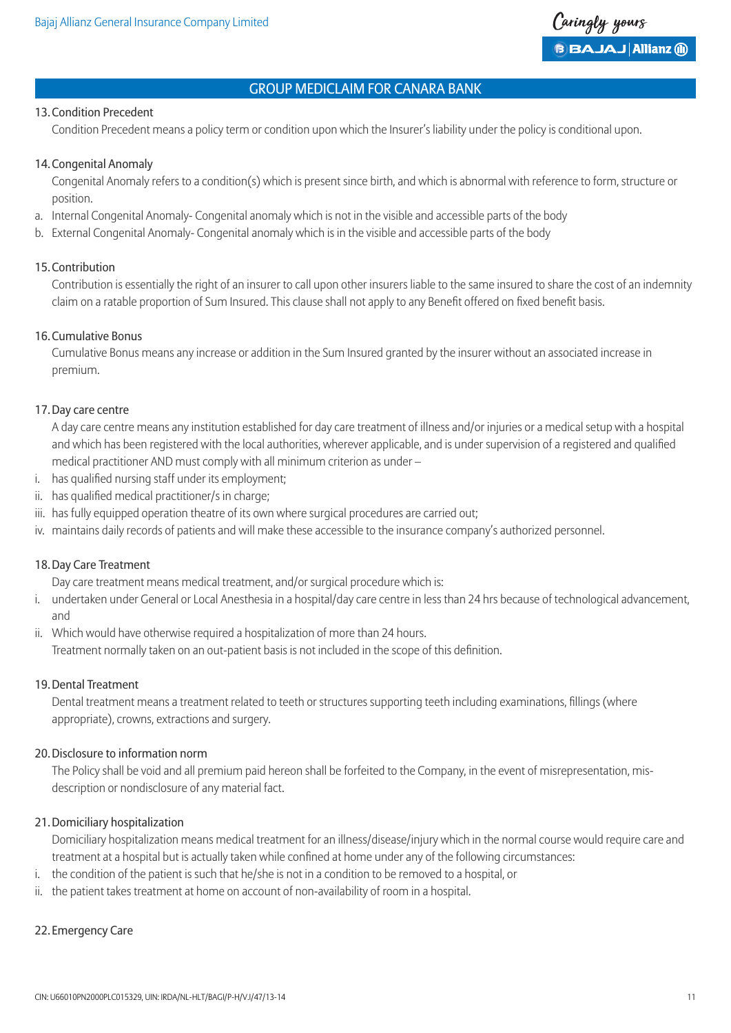#### 13.Condition Precedent

Condition Precedent means a policy term or condition upon which the Insurer's liability under the policy is conditional upon.

#### 14.Congenital Anomaly

 Congenital Anomaly refers to a condition(s) which is present since birth, and which is abnormal with reference to form, structure or position.

- a. Internal Congenital Anomaly- Congenital anomaly which is not in the visible and accessible parts of the body
- b. External Congenital Anomaly- Congenital anomaly which is in the visible and accessible parts of the body

#### 15.Contribution

 Contribution is essentially the right of an insurer to call upon other insurers liable to the same insured to share the cost of an indemnity claim on a ratable proportion of Sum Insured. This clause shall not apply to any Benefit offered on fixed benefit basis.

#### 16.Cumulative Bonus

 Cumulative Bonus means any increase or addition in the Sum Insured granted by the insurer without an associated increase in premium.

#### 17.Day care centre

 A day care centre means any institution established for day care treatment of illness and/or injuries or a medical setup with a hospital and which has been registered with the local authorities, wherever applicable, and is under supervision of a registered and qualified medical practitioner AND must comply with all minimum criterion as under –

- i. has qualified nursing staff under its employment;
- ii. has qualified medical practitioner/s in charge;
- iii. has fully equipped operation theatre of its own where surgical procedures are carried out;
- iv. maintains daily records of patients and will make these accessible to the insurance company's authorized personnel.

#### 18.Day Care Treatment

Day care treatment means medical treatment, and/or surgical procedure which is:

- i. undertaken under General or Local Anesthesia in a hospital/day care centre in less than 24 hrs because of technological advancement, and
- ii. Which would have otherwise required a hospitalization of more than 24 hours.

Treatment normally taken on an out-patient basis is not included in the scope of this definition.

#### 19.Dental Treatment

 Dental treatment means a treatment related to teeth or structures supporting teeth including examinations, fillings (where appropriate), crowns, extractions and surgery.

#### 20.Disclosure to information norm

 The Policy shall be void and all premium paid hereon shall be forfeited to the Company, in the event of misrepresentation, misdescription or nondisclosure of any material fact.

#### 21.Domiciliary hospitalization

 Domiciliary hospitalization means medical treatment for an illness/disease/injury which in the normal course would require care and treatment at a hospital but is actually taken while confined at home under any of the following circumstances:

- i. the condition of the patient is such that he/she is not in a condition to be removed to a hospital, or
- ii. the patient takes treatment at home on account of non-availability of room in a hospital.

#### 22. Emergency Care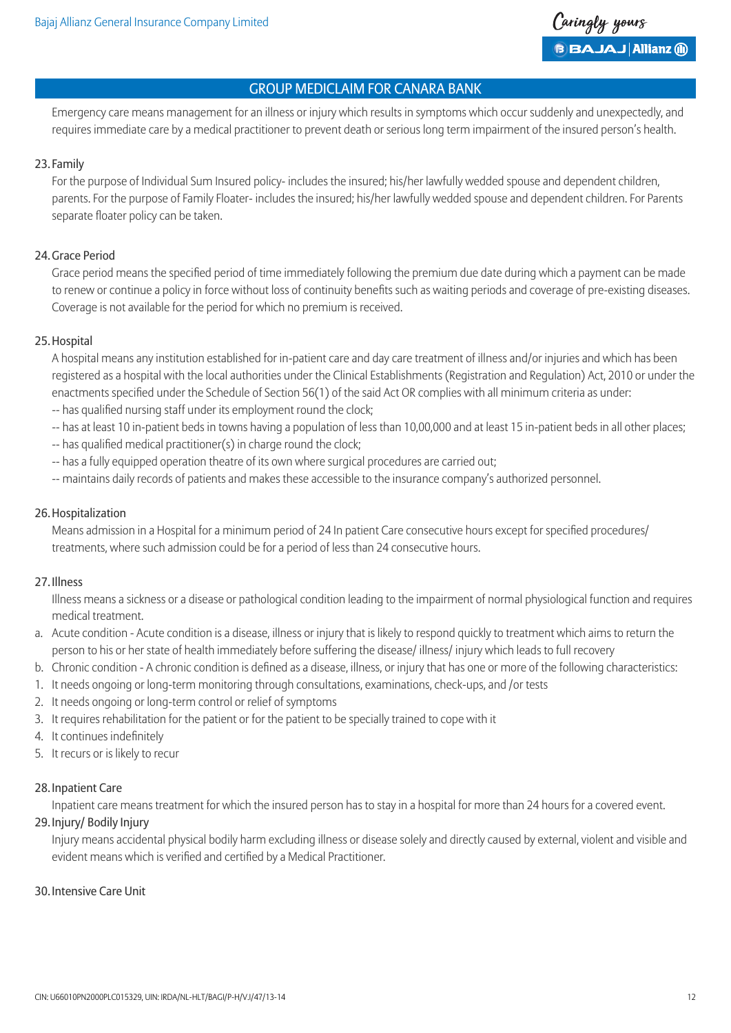

 Emergency care means management for an illness or injury which results in symptoms which occur suddenly and unexpectedly, and requires immediate care by a medical practitioner to prevent death or serious long term impairment of the insured person's health.

#### 23. Family

 For the purpose of Individual Sum Insured policy- includes the insured; his/her lawfully wedded spouse and dependent children, parents. For the purpose of Family Floater- includes the insured; his/her lawfully wedded spouse and dependent children. For Parents separate floater policy can be taken.

#### 24.Grace Period

 Grace period means the specified period of time immediately following the premium due date during which a payment can be made to renew or continue a policy in force without loss of continuity benefits such as waiting periods and coverage of pre-existing diseases. Coverage is not available for the period for which no premium is received.

#### 25.Hospital

 A hospital means any institution established for in-patient care and day care treatment of illness and/or injuries and which has been registered as a hospital with the local authorities under the Clinical Establishments (Registration and Regulation) Act, 2010 or under the enactments specified under the Schedule of Section 56(1) of the said Act OR complies with all minimum criteria as under: -- has qualified nursing staff under its employment round the clock;

- -- has at least 10 in-patient beds in towns having a population of less than 10,00,000 and at least 15 in-patient beds in all other places;
- -- has qualified medical practitioner(s) in charge round the clock;
- -- has a fully equipped operation theatre of its own where surgical procedures are carried out;
- -- maintains daily records of patients and makes these accessible to the insurance company's authorized personnel.

#### 26.Hospitalization

 Means admission in a Hospital for a minimum period of 24 In patient Care consecutive hours except for specified procedures/ treatments, where such admission could be for a period of less than 24 consecutive hours.

#### 27. Illness

 Illness means a sickness or a disease or pathological condition leading to the impairment of normal physiological function and requires medical treatment.

- a. Acute condition Acute condition is a disease, illness or injury that is likely to respond quickly to treatment which aims to return the person to his or her state of health immediately before suffering the disease/ illness/ injury which leads to full recovery
- b. Chronic condition A chronic condition is defined as a disease, illness, or injury that has one or more of the following characteristics:
- 1. It needs ongoing or long-term monitoring through consultations, examinations, check-ups, and /or tests
- 2. It needs ongoing or long-term control or relief of symptoms
- 3. It requires rehabilitation for the patient or for the patient to be specially trained to cope with it
- 4. It continues indefinitely
- 5. It recurs or is likely to recur

# 28. Inpatient Care

Inpatient care means treatment for which the insured person has to stay in a hospital for more than 24 hours for a covered event.

# 29. Injury/ Bodily Injury

 Injury means accidental physical bodily harm excluding illness or disease solely and directly caused by external, violent and visible and evident means which is verified and certified by a Medical Practitioner.

# 30. Intensive Care Unit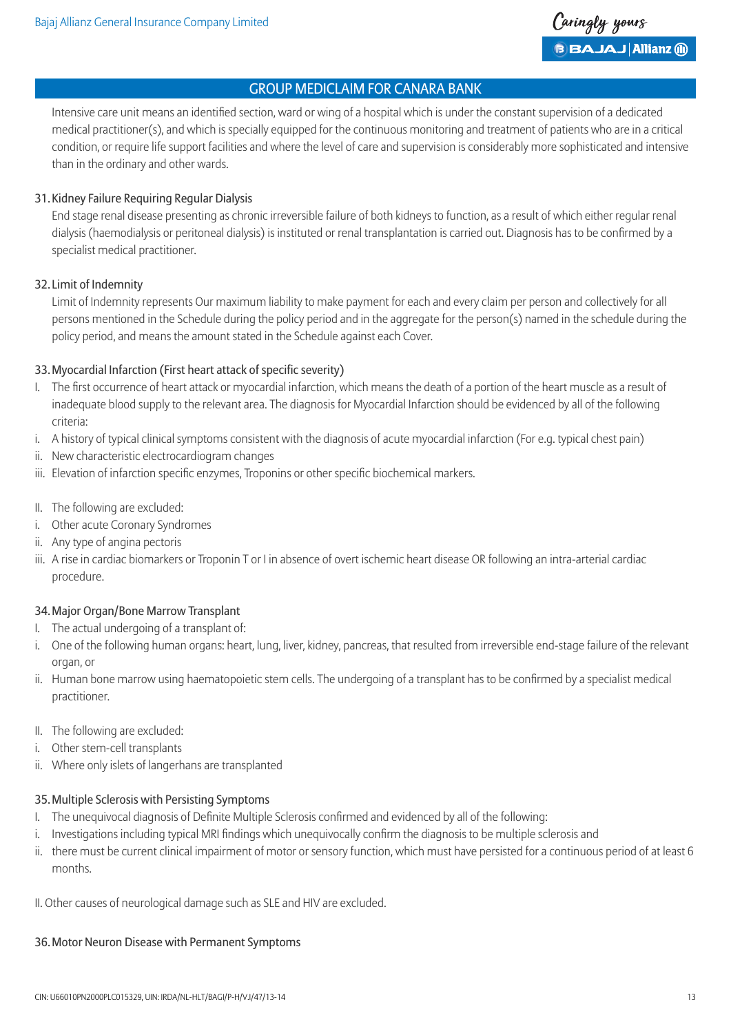

 Intensive care unit means an identified section, ward or wing of a hospital which is under the constant supervision of a dedicated medical practitioner(s), and which is specially equipped for the continuous monitoring and treatment of patients who are in a critical condition, or require life support facilities and where the level of care and supervision is considerably more sophisticated and intensive than in the ordinary and other wards.

### 31.Kidney Failure Requiring Regular Dialysis

 End stage renal disease presenting as chronic irreversible failure of both kidneys to function, as a result of which either regular renal dialysis (haemodialysis or peritoneal dialysis) is instituted or renal transplantation is carried out. Diagnosis has to be confirmed by a specialist medical practitioner.

### 32. Limit of Indemnity

 Limit of Indemnity represents Our maximum liability to make payment for each and every claim per person and collectively for all persons mentioned in the Schedule during the policy period and in the aggregate for the person(s) named in the schedule during the policy period, and means the amount stated in the Schedule against each Cover.

### 33.Myocardial Infarction (First heart attack of specific severity)

- I. The first occurrence of heart attack or myocardial infarction, which means the death of a portion of the heart muscle as a result of inadequate blood supply to the relevant area. The diagnosis for Myocardial Infarction should be evidenced by all of the following criteria:
- i. A history of typical clinical symptoms consistent with the diagnosis of acute myocardial infarction (For e.g. typical chest pain)
- ii. New characteristic electrocardiogram changes
- iii. Elevation of infarction specific enzymes, Troponins or other specific biochemical markers.
- II. The following are excluded:
- i. Other acute Coronary Syndromes
- ii. Any type of angina pectoris
- iii. A rise in cardiac biomarkers or Troponin T or I in absence of overt ischemic heart disease OR following an intra-arterial cardiac procedure.

#### 34.Major Organ/Bone Marrow Transplant

- I. The actual undergoing of a transplant of:
- i. One of the following human organs: heart, lung, liver, kidney, pancreas, that resulted from irreversible end-stage failure of the relevant organ, or
- ii. Human bone marrow using haematopoietic stem cells. The undergoing of a transplant has to be confirmed by a specialist medical practitioner.
- II. The following are excluded:
- i. Other stem-cell transplants
- ii. Where only islets of langerhans are transplanted

### 35.Multiple Sclerosis with Persisting Symptoms

- I. The unequivocal diagnosis of Definite Multiple Sclerosis confirmed and evidenced by all of the following:
- i. Investigations including typical MRI findings which unequivocally confirm the diagnosis to be multiple sclerosis and
- ii. there must be current clinical impairment of motor or sensory function, which must have persisted for a continuous period of at least 6 months.

II. Other causes of neurological damage such as SLE and HIV are excluded.

#### 36.Motor Neuron Disease with Permanent Symptoms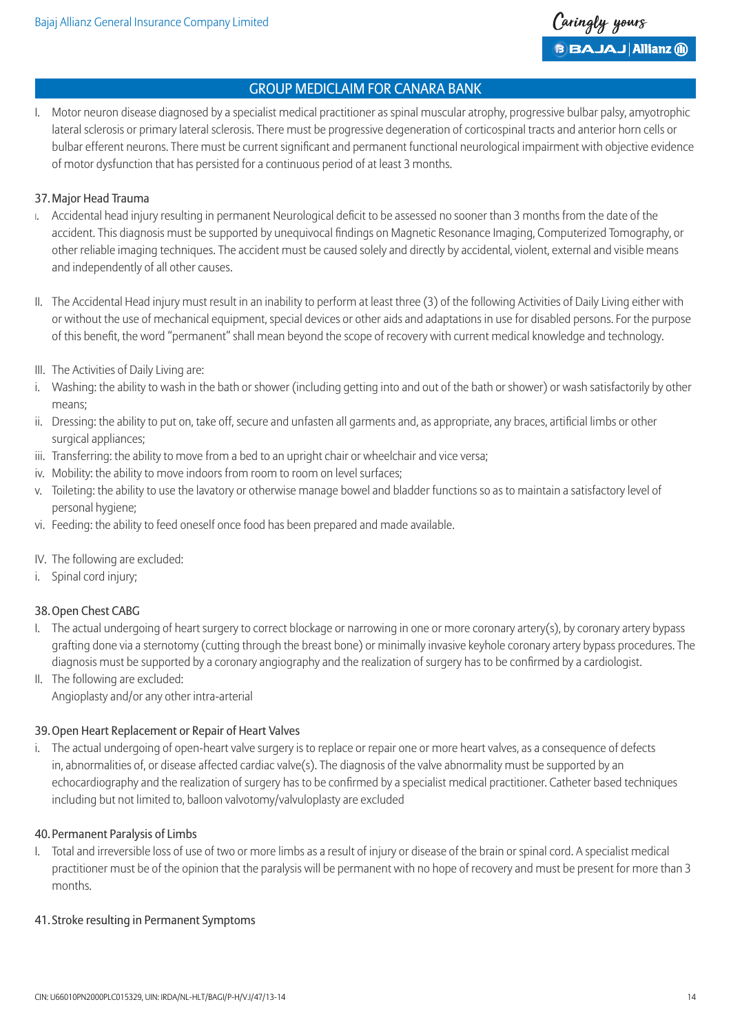I. Motor neuron disease diagnosed by a specialist medical practitioner as spinal muscular atrophy, progressive bulbar palsy, amyotrophic lateral sclerosis or primary lateral sclerosis. There must be progressive degeneration of corticospinal tracts and anterior horn cells or bulbar efferent neurons. There must be current significant and permanent functional neurological impairment with objective evidence of motor dysfunction that has persisted for a continuous period of at least 3 months.

### 37.Major Head Trauma

- I. Accidental head injury resulting in permanent Neurological deficit to be assessed no sooner than 3 months from the date of the accident. This diagnosis must be supported by unequivocal findings on Magnetic Resonance Imaging, Computerized Tomography, or other reliable imaging techniques. The accident must be caused solely and directly by accidental, violent, external and visible means and independently of all other causes.
- II. The Accidental Head injury must result in an inability to perform at least three (3) of the following Activities of Daily Living either with or without the use of mechanical equipment, special devices or other aids and adaptations in use for disabled persons. For the purpose of this benefit, the word "permanent" shall mean beyond the scope of recovery with current medical knowledge and technology.
- III. The Activities of Daily Living are:
- i. Washing: the ability to wash in the bath or shower (including getting into and out of the bath or shower) or wash satisfactorily by other means;
- ii. Dressing: the ability to put on, take off, secure and unfasten all garments and, as appropriate, any braces, artificial limbs or other surgical appliances;
- iii. Transferring: the ability to move from a bed to an upright chair or wheelchair and vice versa;
- iv. Mobility: the ability to move indoors from room to room on level surfaces;
- v. Toileting: the ability to use the lavatory or otherwise manage bowel and bladder functions so as to maintain a satisfactory level of personal hygiene;
- vi. Feeding: the ability to feed oneself once food has been prepared and made available.
- IV. The following are excluded:
- i. Spinal cord injury;

# 38.Open Chest CABG

- I. The actual undergoing of heart surgery to correct blockage or narrowing in one or more coronary artery(s), by coronary artery bypass grafting done via a sternotomy (cutting through the breast bone) or minimally invasive keyhole coronary artery bypass procedures. The diagnosis must be supported by a coronary angiography and the realization of surgery has to be confirmed by a cardiologist.
- II. The following are excluded: Angioplasty and/or any other intra-arterial

# 39.Open Heart Replacement or Repair of Heart Valves

i. The actual undergoing of open-heart valve surgery is to replace or repair one or more heart valves, as a consequence of defects in, abnormalities of, or disease affected cardiac valve(s). The diagnosis of the valve abnormality must be supported by an echocardiography and the realization of surgery has to be confirmed by a specialist medical practitioner. Catheter based techniques including but not limited to, balloon valvotomy/valvuloplasty are excluded

#### 40.Permanent Paralysis of Limbs

I. Total and irreversible loss of use of two or more limbs as a result of injury or disease of the brain or spinal cord. A specialist medical practitioner must be of the opinion that the paralysis will be permanent with no hope of recovery and must be present for more than 3 months.

#### 41. Stroke resulting in Permanent Symptoms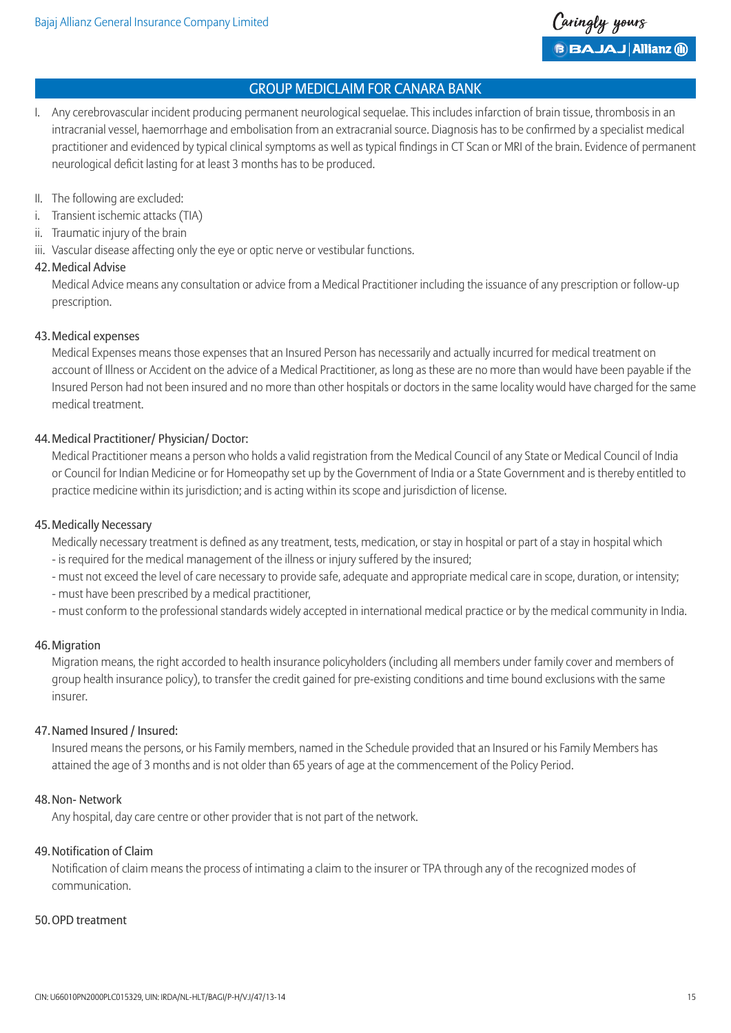I. Any cerebrovascular incident producing permanent neurological sequelae. This includes infarction of brain tissue, thrombosis in an intracranial vessel, haemorrhage and embolisation from an extracranial source. Diagnosis has to be confirmed by a specialist medical practitioner and evidenced by typical clinical symptoms as well as typical findings in CT Scan or MRI of the brain. Evidence of permanent neurological deficit lasting for at least 3 months has to be produced.

#### II. The following are excluded:

- i. Transient ischemic attacks (TIA)
- ii. Traumatic injury of the brain
- iii. Vascular disease affecting only the eye or optic nerve or vestibular functions.

#### 42.Medical Advise

 Medical Advice means any consultation or advice from a Medical Practitioner including the issuance of any prescription or follow-up prescription.

#### 43.Medical expenses

 Medical Expenses means those expenses that an Insured Person has necessarily and actually incurred for medical treatment on account of Illness or Accident on the advice of a Medical Practitioner, as long as these are no more than would have been payable if the Insured Person had not been insured and no more than other hospitals or doctors in the same locality would have charged for the same medical treatment.

### 44.Medical Practitioner/ Physician/ Doctor:

 Medical Practitioner means a person who holds a valid registration from the Medical Council of any State or Medical Council of India or Council for Indian Medicine or for Homeopathy set up by the Government of India or a State Government and is thereby entitled to practice medicine within its jurisdiction; and is acting within its scope and jurisdiction of license.

#### 45.Medically Necessary

Medically necessary treatment is defined as any treatment, tests, medication, or stay in hospital or part of a stay in hospital which

- is required for the medical management of the illness or injury suffered by the insured;
- must not exceed the level of care necessary to provide safe, adequate and appropriate medical care in scope, duration, or intensity;
- must have been prescribed by a medical practitioner,
- must conform to the professional standards widely accepted in international medical practice or by the medical community in India.

#### 46.Migration

 Migration means, the right accorded to health insurance policyholders (including all members under family cover and members of group health insurance policy), to transfer the credit gained for pre-existing conditions and time bound exclusions with the same insurer.

#### 47.Named Insured / Insured:

 Insured means the persons, or his Family members, named in the Schedule provided that an Insured or his Family Members has attained the age of 3 months and is not older than 65 years of age at the commencement of the Policy Period.

#### 48.Non- Network

Any hospital, day care centre or other provider that is not part of the network.

### 49.Notification of Claim

 Notification of claim means the process of intimating a claim to the insurer or TPA through any of the recognized modes of communication.

#### 50.OPD treatment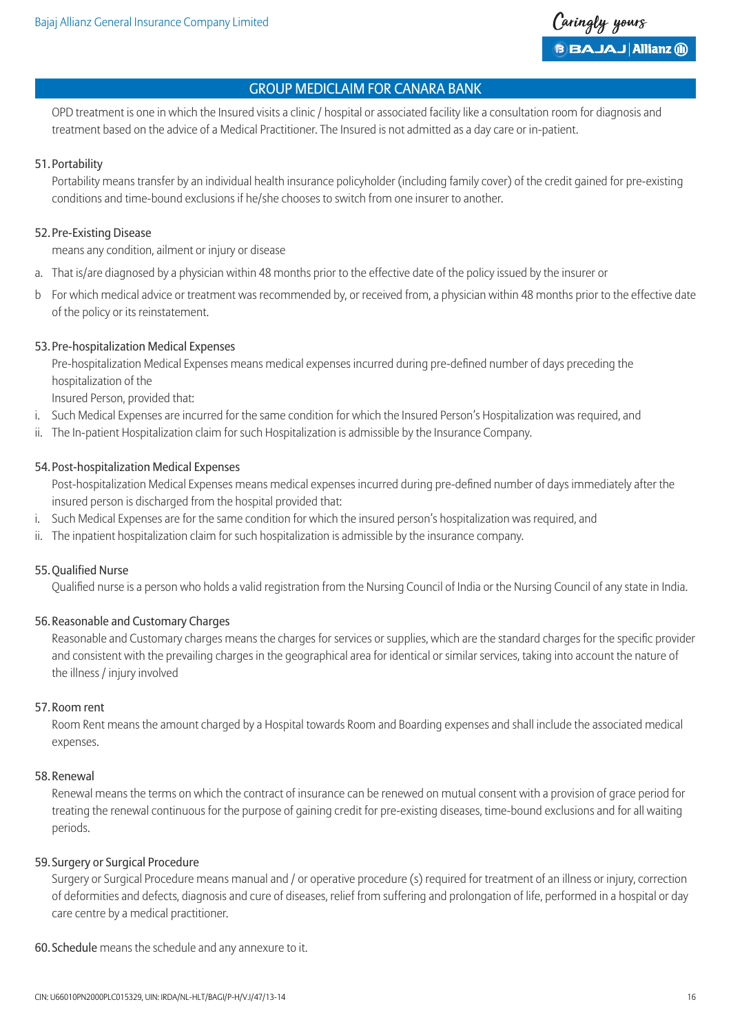

 OPD treatment is one in which the Insured visits a clinic / hospital or associated facility like a consultation room for diagnosis and treatment based on the advice of a Medical Practitioner. The Insured is not admitted as a day care or in-patient.

#### 51.Portability

 Portability means transfer by an individual health insurance policyholder (including family cover) of the credit gained for pre-existing conditions and time-bound exclusions if he/she chooses to switch from one insurer to another.

#### 52.Pre-Existing Disease

means any condition, ailment or injury or disease

- a. That is/are diagnosed by a physician within 48 months prior to the effective date of the policy issued by the insurer or
- b For which medical advice or treatment was recommended by, or received from, a physician within 48 months prior to the effective date of the policy or its reinstatement.

#### 53.Pre-hospitalization Medical Expenses

 Pre-hospitalization Medical Expenses means medical expenses incurred during pre-defined number of days preceding the hospitalization of the

Insured Person, provided that:

- i. Such Medical Expenses are incurred for the same condition for which the Insured Person's Hospitalization was required, and
- ii. The In-patient Hospitalization claim for such Hospitalization is admissible by the Insurance Company.

#### 54.Post-hospitalization Medical Expenses

 Post-hospitalization Medical Expenses means medical expenses incurred during pre-defined number of days immediately after the insured person is discharged from the hospital provided that:

- i. Such Medical Expenses are for the same condition for which the insured person's hospitalization was required, and
- ii. The inpatient hospitalization claim for such hospitalization is admissible by the insurance company.

### 55.Qualified Nurse

Qualified nurse is a person who holds a valid registration from the Nursing Council of India or the Nursing Council of any state in India.

#### 56.Reasonable and Customary Charges

 Reasonable and Customary charges means the charges for services or supplies, which are the standard charges for the specific provider and consistent with the prevailing charges in the geographical area for identical or similar services, taking into account the nature of the illness / injury involved

#### 57.Room rent

 Room Rent means the amount charged by a Hospital towards Room and Boarding expenses and shall include the associated medical expenses.

#### 58.Renewal

 Renewal means the terms on which the contract of insurance can be renewed on mutual consent with a provision of grace period for treating the renewal continuous for the purpose of gaining credit for pre-existing diseases, time-bound exclusions and for all waiting periods.

#### 59. Surgery or Surgical Procedure

 Surgery or Surgical Procedure means manual and / or operative procedure (s) required for treatment of an illness or injury, correction of deformities and defects, diagnosis and cure of diseases, relief from suffering and prolongation of life, performed in a hospital or day care centre by a medical practitioner.

#### 60. Schedule means the schedule and any annexure to it.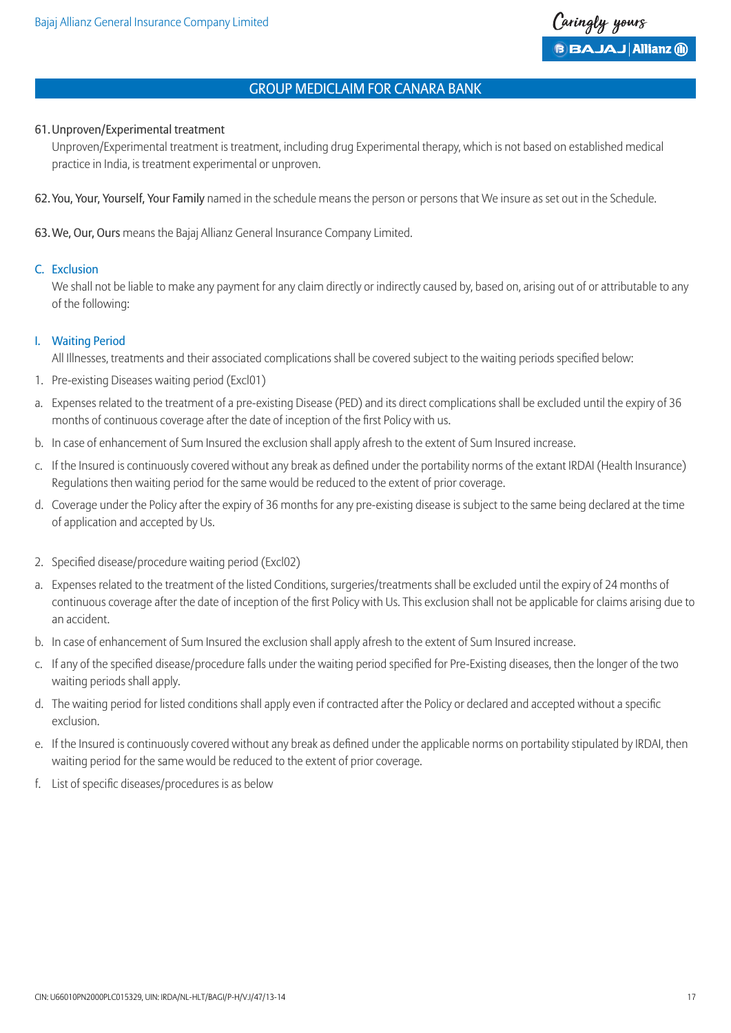#### 61.Unproven/Experimental treatment

 Unproven/Experimental treatment is treatment, including drug Experimental therapy, which is not based on established medical practice in India, is treatment experimental or unproven.

62.You, Your, Yourself, Your Family named in the schedule means the person or persons that We insure as set out in the Schedule.

63.We, Our, Ours means the Bajaj Allianz General Insurance Company Limited.

#### C. Exclusion

We shall not be liable to make any payment for any claim directly or indirectly caused by, based on, arising out of or attributable to any of the following:

#### I. Waiting Period

All Illnesses, treatments and their associated complications shall be covered subject to the waiting periods specified below:

- 1. Pre-existing Diseases waiting period (Excl01)
- a. Expenses related to the treatment of a pre-existing Disease (PED) and its direct complications shall be excluded until the expiry of 36 months of continuous coverage after the date of inception of the first Policy with us.
- b. In case of enhancement of Sum Insured the exclusion shall apply afresh to the extent of Sum Insured increase.
- c. If the Insured is continuously covered without any break as defined under the portability norms of the extant IRDAI (Health Insurance) Regulations then waiting period for the same would be reduced to the extent of prior coverage.
- d. Coverage under the Policy after the expiry of 36 months for any pre-existing disease is subject to the same being declared at the time of application and accepted by Us.
- 2. Specified disease/procedure waiting period (Excl02)
- a. Expenses related to the treatment of the listed Conditions, surgeries/treatments shall be excluded until the expiry of 24 months of continuous coverage after the date of inception of the first Policy with Us. This exclusion shall not be applicable for claims arising due to an accident.
- b. In case of enhancement of Sum Insured the exclusion shall apply afresh to the extent of Sum Insured increase.
- c. If any of the specified disease/procedure falls under the waiting period specified for Pre-Existing diseases, then the longer of the two waiting periods shall apply.
- d. The waiting period for listed conditions shall apply even if contracted after the Policy or declared and accepted without a specific exclusion.
- e. If the Insured is continuously covered without any break as defined under the applicable norms on portability stipulated by IRDAI, then waiting period for the same would be reduced to the extent of prior coverage.
- f. List of specific diseases/procedures is as below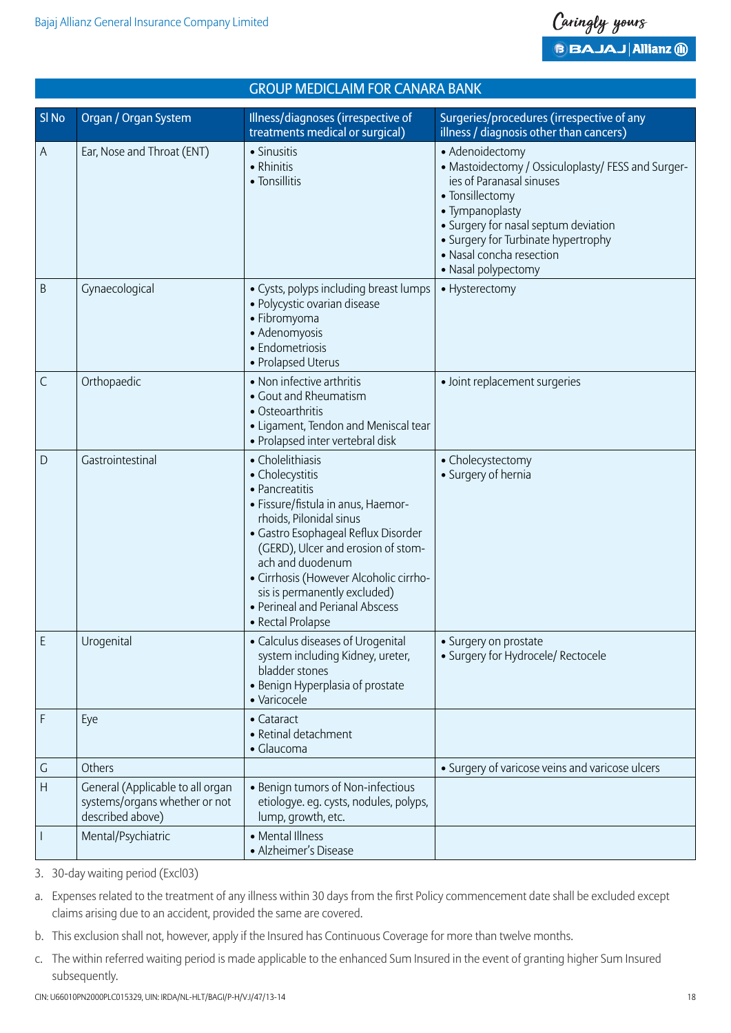

| <b>GROUP MEDICLAIM FOR CANARA BANK</b> |                                                                                       |                                                                                                                                                                                                                                                                                                                                                           |                                                                                                                                                                                                                                                                           |
|----------------------------------------|---------------------------------------------------------------------------------------|-----------------------------------------------------------------------------------------------------------------------------------------------------------------------------------------------------------------------------------------------------------------------------------------------------------------------------------------------------------|---------------------------------------------------------------------------------------------------------------------------------------------------------------------------------------------------------------------------------------------------------------------------|
| SI <sub>No</sub>                       | Organ / Organ System                                                                  | Illness/diagnoses (irrespective of<br>treatments medical or surgical)                                                                                                                                                                                                                                                                                     | Surgeries/procedures (irrespective of any<br>illness / diagnosis other than cancers)                                                                                                                                                                                      |
| Α                                      | Ear, Nose and Throat (ENT)                                                            | • Sinusitis<br>• Rhinitis<br>• Tonsillitis                                                                                                                                                                                                                                                                                                                | • Adenoidectomy<br>• Mastoidectomy / Ossiculoplasty/ FESS and Surger-<br>ies of Paranasal sinuses<br>• Tonsillectomy<br>• Tympanoplasty<br>• Surgery for nasal septum deviation<br>• Surgery for Turbinate hypertrophy<br>• Nasal concha resection<br>• Nasal polypectomy |
| B                                      | Gynaecological                                                                        | • Cysts, polyps including breast lumps<br>· Polycystic ovarian disease<br>• Fibromyoma<br>• Adenomyosis<br>• Endometriosis<br>• Prolapsed Uterus                                                                                                                                                                                                          | • Hysterectomy                                                                                                                                                                                                                                                            |
| $\mathsf{C}$                           | Orthopaedic                                                                           | • Non infective arthritis<br>• Gout and Rheumatism<br>• Osteoarthritis<br>• Ligament, Tendon and Meniscal tear<br>· Prolapsed inter vertebral disk                                                                                                                                                                                                        | • Joint replacement surgeries                                                                                                                                                                                                                                             |
| D                                      | Gastrointestinal                                                                      | • Cholelithiasis<br>• Cholecystitis<br>• Pancreatitis<br>· Fissure/fistula in anus, Haemor-<br>rhoids, Pilonidal sinus<br>· Gastro Esophageal Reflux Disorder<br>(GERD), Ulcer and erosion of stom-<br>ach and duodenum<br>· Cirrhosis (However Alcoholic cirrho-<br>sis is permanently excluded)<br>• Perineal and Perianal Abscess<br>• Rectal Prolapse | • Cholecystectomy<br>• Surgery of hernia                                                                                                                                                                                                                                  |
| E                                      | Urogenital                                                                            | • Calculus diseases of Urogenital<br>system including Kidney, ureter,<br>bladder stones<br>• Benign Hyperplasia of prostate<br>· Varicocele                                                                                                                                                                                                               | • Surgery on prostate<br>· Surgery for Hydrocele/ Rectocele                                                                                                                                                                                                               |
| F                                      | Eye                                                                                   | • Cataract<br>• Retinal detachment<br>• Glaucoma                                                                                                                                                                                                                                                                                                          |                                                                                                                                                                                                                                                                           |
| G                                      | Others                                                                                |                                                                                                                                                                                                                                                                                                                                                           | • Surgery of varicose veins and varicose ulcers                                                                                                                                                                                                                           |
| $\mathsf{H}$                           | General (Applicable to all organ<br>systems/organs whether or not<br>described above) | • Benign tumors of Non-infectious<br>etiologye. eg. cysts, nodules, polyps,<br>lump, growth, etc.                                                                                                                                                                                                                                                         |                                                                                                                                                                                                                                                                           |
|                                        | Mental/Psychiatric                                                                    | • Mental Illness<br>• Alzheimer's Disease                                                                                                                                                                                                                                                                                                                 |                                                                                                                                                                                                                                                                           |

3. 30-day waiting period (Excl03)

- b. This exclusion shall not, however, apply if the Insured has Continuous Coverage for more than twelve months.
- c. The within referred waiting period is made applicable to the enhanced Sum Insured in the event of granting higher Sum Insured subsequently.

a. Expenses related to the treatment of any illness within 30 days from the first Policy commencement date shall be excluded except claims arising due to an accident, provided the same are covered.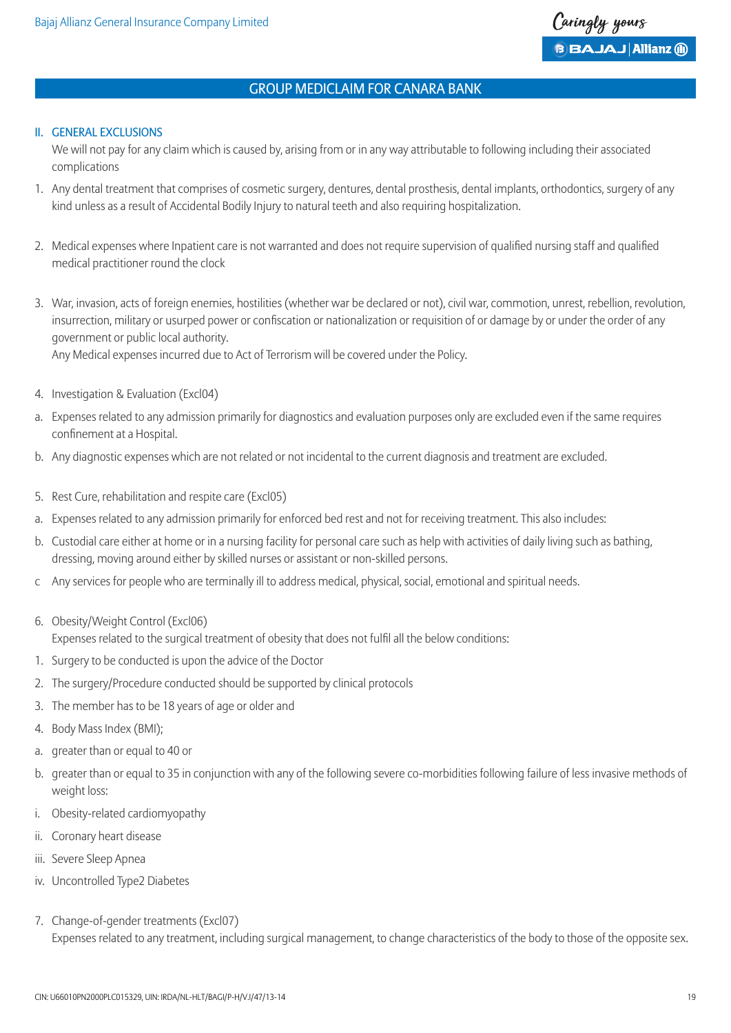#### II. GENERAL EXCLUSIONS

 We will not pay for any claim which is caused by, arising from or in any way attributable to following including their associated complications

- 1. Any dental treatment that comprises of cosmetic surgery, dentures, dental prosthesis, dental implants, orthodontics, surgery of any kind unless as a result of Accidental Bodily Injury to natural teeth and also requiring hospitalization.
- 2. Medical expenses where Inpatient care is not warranted and does not require supervision of qualified nursing staff and qualified medical practitioner round the clock
- 3. War, invasion, acts of foreign enemies, hostilities (whether war be declared or not), civil war, commotion, unrest, rebellion, revolution, insurrection, military or usurped power or confiscation or nationalization or requisition of or damage by or under the order of any government or public local authority. Any Medical expenses incurred due to Act of Terrorism will be covered under the Policy.
- 4. Investigation & Evaluation (Excl04)
- a. Expenses related to any admission primarily for diagnostics and evaluation purposes only are excluded even if the same requires confinement at a Hospital.
- b. Any diagnostic expenses which are not related or not incidental to the current diagnosis and treatment are excluded.
- 5. Rest Cure, rehabilitation and respite care (Excl05)
- a. Expenses related to any admission primarily for enforced bed rest and not for receiving treatment. This also includes:
- b. Custodial care either at home or in a nursing facility for personal care such as help with activities of daily living such as bathing, dressing, moving around either by skilled nurses or assistant or non-skilled persons.
- c Any services for people who are terminally ill to address medical, physical, social, emotional and spiritual needs.
- 6. Obesity/Weight Control (Excl06) Expenses related to the surgical treatment of obesity that does not fulfil all the below conditions:
- 1. Surgery to be conducted is upon the advice of the Doctor
- 2. The surgery/Procedure conducted should be supported by clinical protocols
- 3. The member has to be 18 years of age or older and
- 4. Body Mass Index (BMI);
- a. greater than or equal to 40 or
- b. greater than or equal to 35 in conjunction with any of the following severe co-morbidities following failure of less invasive methods of weight loss:
- i. Obesity-related cardiomyopathy
- ii. Coronary heart disease
- iii. Severe Sleep Apnea
- iv. Uncontrolled Type2 Diabetes
- 7. Change-of-gender treatments (Excl07) Expenses related to any treatment, including surgical management, to change characteristics of the body to those of the opposite sex.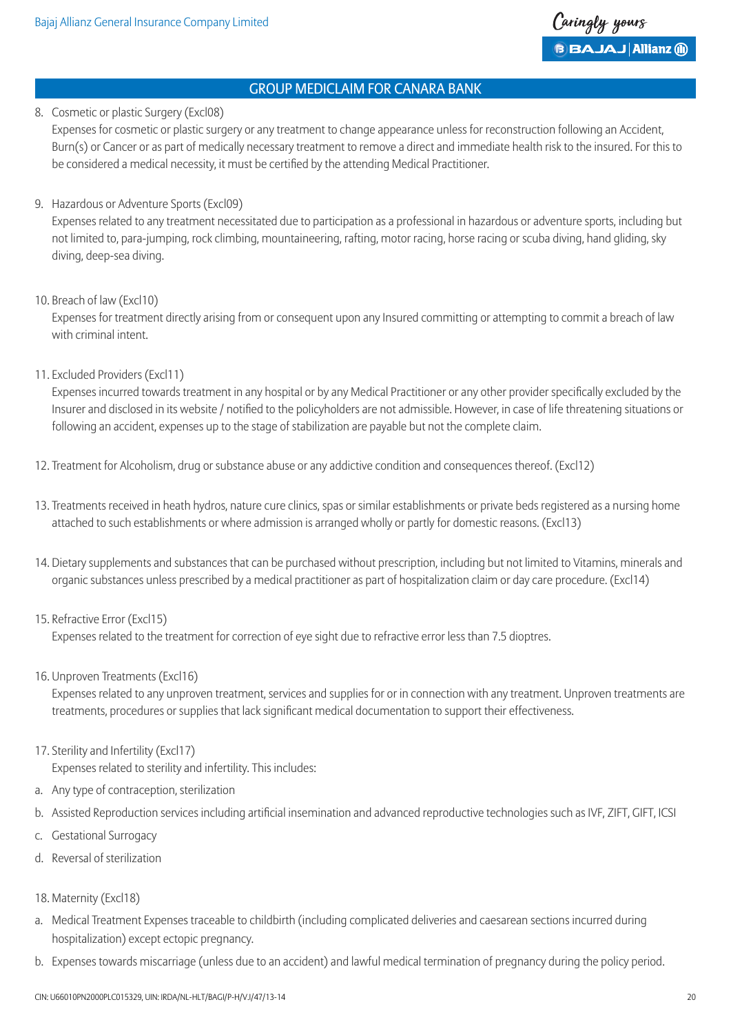#### 8. Cosmetic or plastic Surgery (Excl08)

 Expenses for cosmetic or plastic surgery or any treatment to change appearance unless for reconstruction following an Accident, Burn(s) or Cancer or as part of medically necessary treatment to remove a direct and immediate health risk to the insured. For this to be considered a medical necessity, it must be certified by the attending Medical Practitioner.

### 9. Hazardous or Adventure Sports (Excl09)

 Expenses related to any treatment necessitated due to participation as a professional in hazardous or adventure sports, including but not limited to, para-jumping, rock climbing, mountaineering, rafting, motor racing, horse racing or scuba diving, hand gliding, sky diving, deep-sea diving.

10. Breach of law (Excl10)

 Expenses for treatment directly arising from or consequent upon any Insured committing or attempting to commit a breach of law with criminal intent.

11. Excluded Providers (Excl11)

 Expenses incurred towards treatment in any hospital or by any Medical Practitioner or any other provider specifically excluded by the Insurer and disclosed in its website / notified to the policyholders are not admissible. However, in case of life threatening situations or following an accident, expenses up to the stage of stabilization are payable but not the complete claim.

- 12. Treatment for Alcoholism, drug or substance abuse or any addictive condition and consequences thereof. (Excl12)
- 13. Treatments received in heath hydros, nature cure clinics, spas or similar establishments or private beds registered as a nursing home attached to such establishments or where admission is arranged wholly or partly for domestic reasons. (Excl13)
- 14. Dietary supplements and substances that can be purchased without prescription, including but not limited to Vitamins, minerals and organic substances unless prescribed by a medical practitioner as part of hospitalization claim or day care procedure. (Excl14)
- 15. Refractive Error (Excl15)

Expenses related to the treatment for correction of eye sight due to refractive error less than 7.5 dioptres.

16. Unproven Treatments (Excl16)

 Expenses related to any unproven treatment, services and supplies for or in connection with any treatment. Unproven treatments are treatments, procedures or supplies that lack significant medical documentation to support their effectiveness.

17. Sterility and Infertility (Excl17)

Expenses related to sterility and infertility. This includes:

- a. Any type of contraception, sterilization
- b. Assisted Reproduction services including artificial insemination and advanced reproductive technologies such as IVF, ZIFT, GIFT, ICSI
- c. Gestational Surrogacy
- d. Reversal of sterilization
- 18. Maternity (Excl18)
- a. Medical Treatment Expenses traceable to childbirth (including complicated deliveries and caesarean sections incurred during hospitalization) except ectopic pregnancy.
- b. Expenses towards miscarriage (unless due to an accident) and lawful medical termination of pregnancy during the policy period.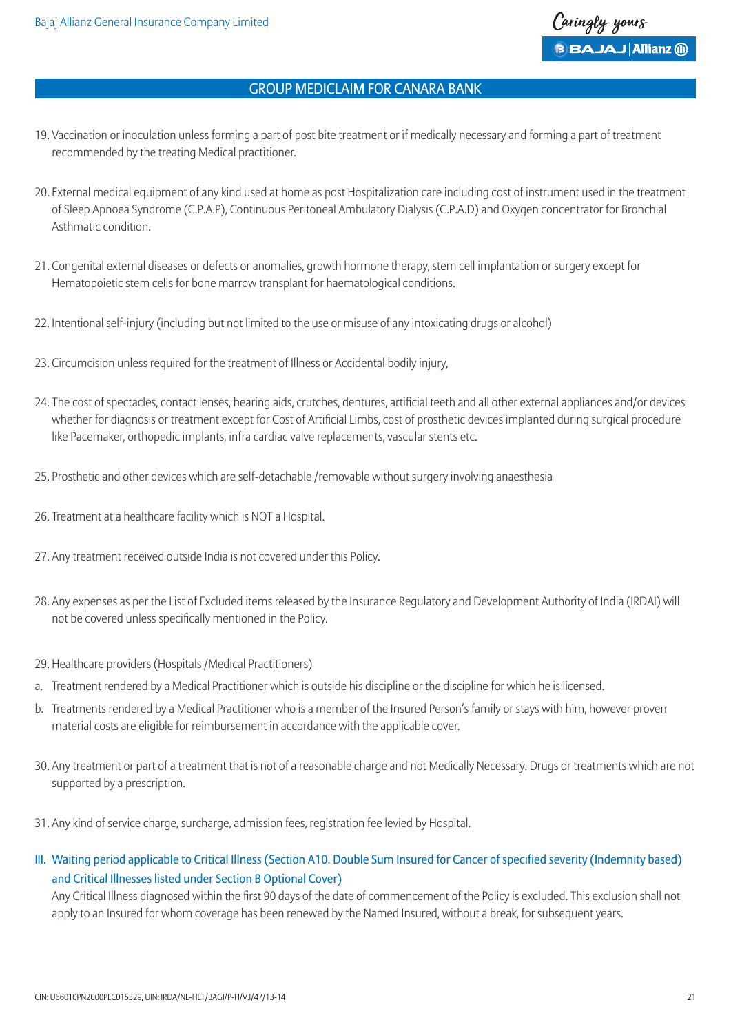- 19. Vaccination or inoculation unless forming a part of post bite treatment or if medically necessary and forming a part of treatment recommended by the treating Medical practitioner.
- 20. External medical equipment of any kind used at home as post Hospitalization care including cost of instrument used in the treatment of Sleep Apnoea Syndrome (C.P.A.P), Continuous Peritoneal Ambulatory Dialysis (C.P.A.D) and Oxygen concentrator for Bronchial Asthmatic condition.
- 21. Congenital external diseases or defects or anomalies, growth hormone therapy, stem cell implantation or surgery except for Hematopoietic stem cells for bone marrow transplant for haematological conditions.
- 22. Intentional self-injury (including but not limited to the use or misuse of any intoxicating drugs or alcohol)
- 23. Circumcision unless required for the treatment of Illness or Accidental bodily injury,
- 24. The cost of spectacles, contact lenses, hearing aids, crutches, dentures, artificial teeth and all other external appliances and/or devices whether for diagnosis or treatment except for Cost of Artificial Limbs, cost of prosthetic devices implanted during surgical procedure like Pacemaker, orthopedic implants, infra cardiac valve replacements, vascular stents etc.
- 25. Prosthetic and other devices which are self-detachable /removable without surgery involving anaesthesia
- 26. Treatment at a healthcare facility which is NOT a Hospital.
- 27. Any treatment received outside India is not covered under this Policy.
- 28. Any expenses as per the List of Excluded items released by the Insurance Regulatory and Development Authority of India (IRDAI) will not be covered unless specifically mentioned in the Policy.
- 29. Healthcare providers (Hospitals /Medical Practitioners)
- a. Treatment rendered by a Medical Practitioner which is outside his discipline or the discipline for which he is licensed.
- b. Treatments rendered by a Medical Practitioner who is a member of the Insured Person's family or stays with him, however proven material costs are eligible for reimbursement in accordance with the applicable cover.
- 30. Any treatment or part of a treatment that is not of a reasonable charge and not Medically Necessary. Drugs or treatments which are not supported by a prescription.
- 31. Any kind of service charge, surcharge, admission fees, registration fee levied by Hospital.
- III. Waiting period applicable to Critical Illness (Section A10. Double Sum Insured for Cancer of specified severity (Indemnity based) and Critical Illnesses listed under Section B Optional Cover)

 Any Critical Illness diagnosed within the first 90 days of the date of commencement of the Policy is excluded. This exclusion shall not apply to an Insured for whom coverage has been renewed by the Named Insured, without a break, for subsequent years.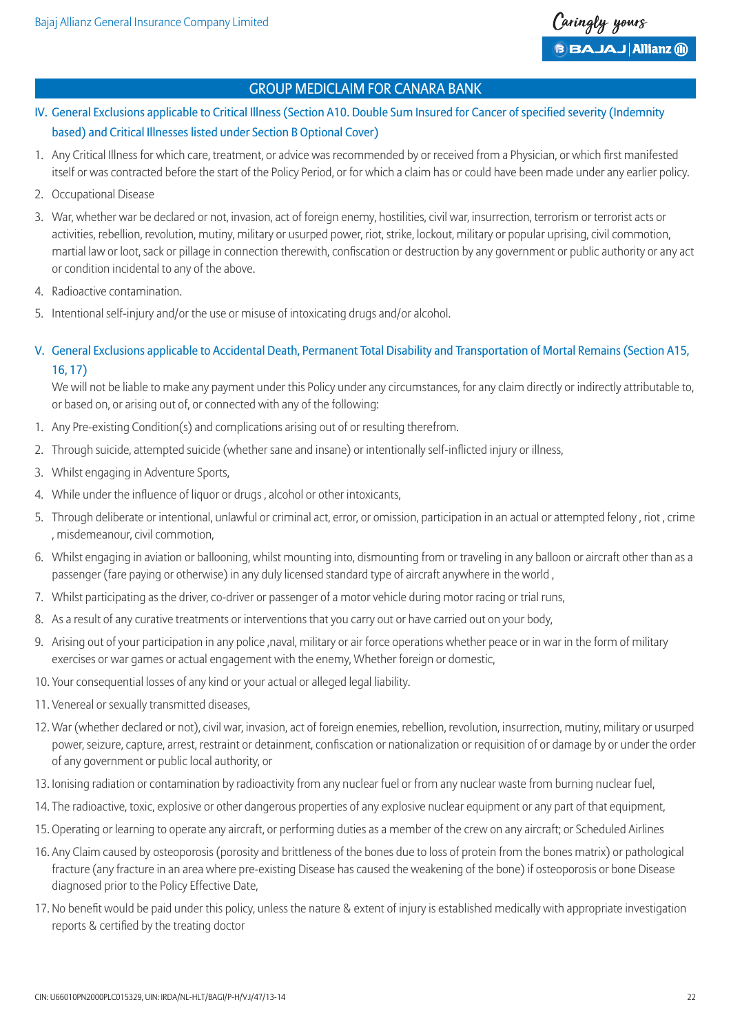- IV. General Exclusions applicable to Critical Illness (Section A10. Double Sum Insured for Cancer of specified severity (Indemnity based) and Critical Illnesses listed under Section B Optional Cover)
- 1. Any Critical Illness for which care, treatment, or advice was recommended by or received from a Physician, or which first manifested itself or was contracted before the start of the Policy Period, or for which a claim has or could have been made under any earlier policy.
- 2. Occupational Disease
- 3. War, whether war be declared or not, invasion, act of foreign enemy, hostilities, civil war, insurrection, terrorism or terrorist acts or activities, rebellion, revolution, mutiny, military or usurped power, riot, strike, lockout, military or popular uprising, civil commotion, martial law or loot, sack or pillage in connection therewith, confiscation or destruction by any government or public authority or any act or condition incidental to any of the above.
- 4. Radioactive contamination.
- 5. Intentional self-injury and/or the use or misuse of intoxicating drugs and/or alcohol.
- V. General Exclusions applicable to Accidental Death, Permanent Total Disability and Transportation of Mortal Remains (Section A15, 16, 17)

We will not be liable to make any payment under this Policy under any circumstances, for any claim directly or indirectly attributable to, or based on, or arising out of, or connected with any of the following:

- 1. Any Pre-existing Condition(s) and complications arising out of or resulting therefrom.
- 2. Through suicide, attempted suicide (whether sane and insane) or intentionally self-inflicted injury or illness,
- 3. Whilst engaging in Adventure Sports,
- 4. While under the influence of liquor or drugs , alcohol or other intoxicants,
- 5. Through deliberate or intentional, unlawful or criminal act, error, or omission, participation in an actual or attempted felony , riot , crime , misdemeanour, civil commotion,
- 6. Whilst engaging in aviation or ballooning, whilst mounting into, dismounting from or traveling in any balloon or aircraft other than as a passenger (fare paying or otherwise) in any duly licensed standard type of aircraft anywhere in the world ,
- 7. Whilst participating as the driver, co-driver or passenger of a motor vehicle during motor racing or trial runs,
- 8. As a result of any curative treatments or interventions that you carry out or have carried out on your body,
- 9. Arising out of your participation in any police ,naval, military or air force operations whether peace or in war in the form of military exercises or war games or actual engagement with the enemy, Whether foreign or domestic,
- 10. Your consequential losses of any kind or your actual or alleged legal liability.
- 11. Venereal or sexually transmitted diseases,
- 12. War (whether declared or not), civil war, invasion, act of foreign enemies, rebellion, revolution, insurrection, mutiny, military or usurped power, seizure, capture, arrest, restraint or detainment, confiscation or nationalization or requisition of or damage by or under the order of any government or public local authority, or
- 13. Ionising radiation or contamination by radioactivity from any nuclear fuel or from any nuclear waste from burning nuclear fuel,
- 14. The radioactive, toxic, explosive or other dangerous properties of any explosive nuclear equipment or any part of that equipment,
- 15. Operating or learning to operate any aircraft, or performing duties as a member of the crew on any aircraft; or Scheduled Airlines
- 16. Any Claim caused by osteoporosis (porosity and brittleness of the bones due to loss of protein from the bones matrix) or pathological fracture (any fracture in an area where pre-existing Disease has caused the weakening of the bone) if osteoporosis or bone Disease diagnosed prior to the Policy Effective Date,
- 17. No benefit would be paid under this policy, unless the nature & extent of injury is established medically with appropriate investigation reports & certified by the treating doctor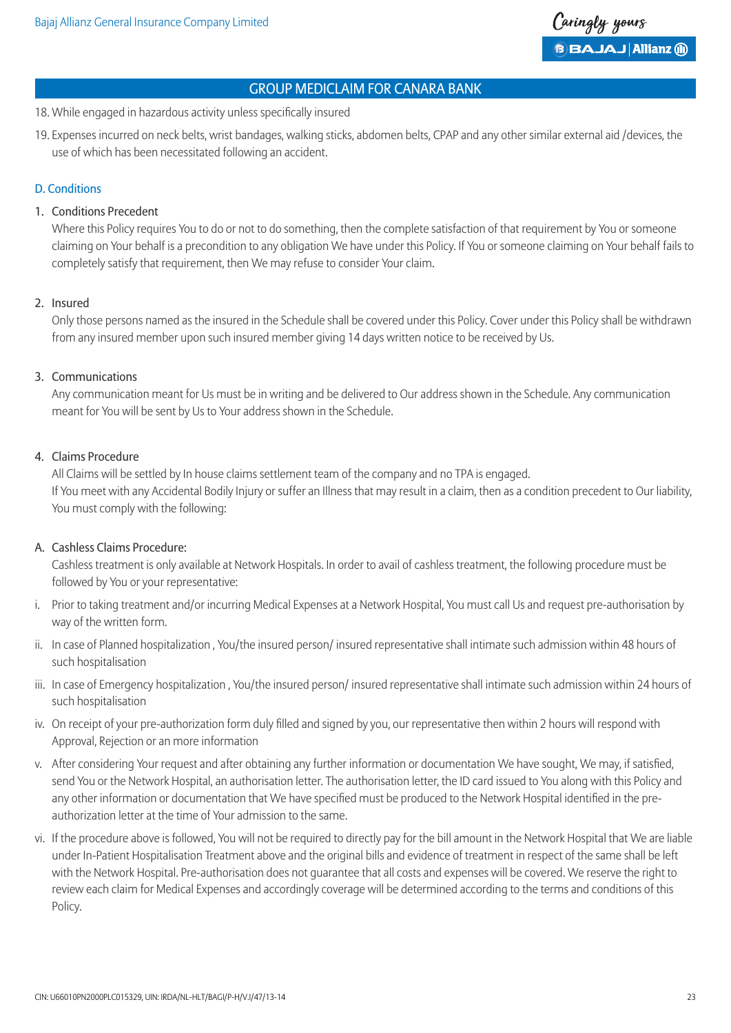- 18. While engaged in hazardous activity unless specifically insured
- 19. Expenses incurred on neck belts, wrist bandages, walking sticks, abdomen belts, CPAP and any other similar external aid /devices, the use of which has been necessitated following an accident.

### D. Conditions

### 1. Conditions Precedent

 Where this Policy requires You to do or not to do something, then the complete satisfaction of that requirement by You or someone claiming on Your behalf is a precondition to any obligation We have under this Policy. If You or someone claiming on Your behalf fails to completely satisfy that requirement, then We may refuse to consider Your claim.

#### 2. Insured

 Only those persons named as the insured in the Schedule shall be covered under this Policy. Cover under this Policy shall be withdrawn from any insured member upon such insured member giving 14 days written notice to be received by Us.

### 3. Communications

 Any communication meant for Us must be in writing and be delivered to Our address shown in the Schedule. Any communication meant for You will be sent by Us to Your address shown in the Schedule.

### 4. Claims Procedure

 All Claims will be settled by In house claims settlement team of the company and no TPA is engaged. If You meet with any Accidental Bodily Injury or suffer an Illness that may result in a claim, then as a condition precedent to Our liability, You must comply with the following:

#### A. Cashless Claims Procedure:

 Cashless treatment is only available at Network Hospitals. In order to avail of cashless treatment, the following procedure must be followed by You or your representative:

- i. Prior to taking treatment and/or incurring Medical Expenses at a Network Hospital, You must call Us and request pre-authorisation by way of the written form.
- ii. In case of Planned hospitalization , You/the insured person/ insured representative shall intimate such admission within 48 hours of such hospitalisation
- iii. In case of Emergency hospitalization, You/the insured person/insured representative shall intimate such admission within 24 hours of such hospitalisation
- iv. On receipt of your pre-authorization form duly filled and signed by you, our representative then within 2 hours will respond with Approval, Rejection or an more information
- v. After considering Your request and after obtaining any further information or documentation We have sought, We may, if satisfied, send You or the Network Hospital, an authorisation letter. The authorisation letter, the ID card issued to You along with this Policy and any other information or documentation that We have specified must be produced to the Network Hospital identified in the preauthorization letter at the time of Your admission to the same.
- vi. If the procedure above is followed, You will not be required to directly pay for the bill amount in the Network Hospital that We are liable under In-Patient Hospitalisation Treatment above and the original bills and evidence of treatment in respect of the same shall be left with the Network Hospital. Pre-authorisation does not guarantee that all costs and expenses will be covered. We reserve the right to review each claim for Medical Expenses and accordingly coverage will be determined according to the terms and conditions of this Policy.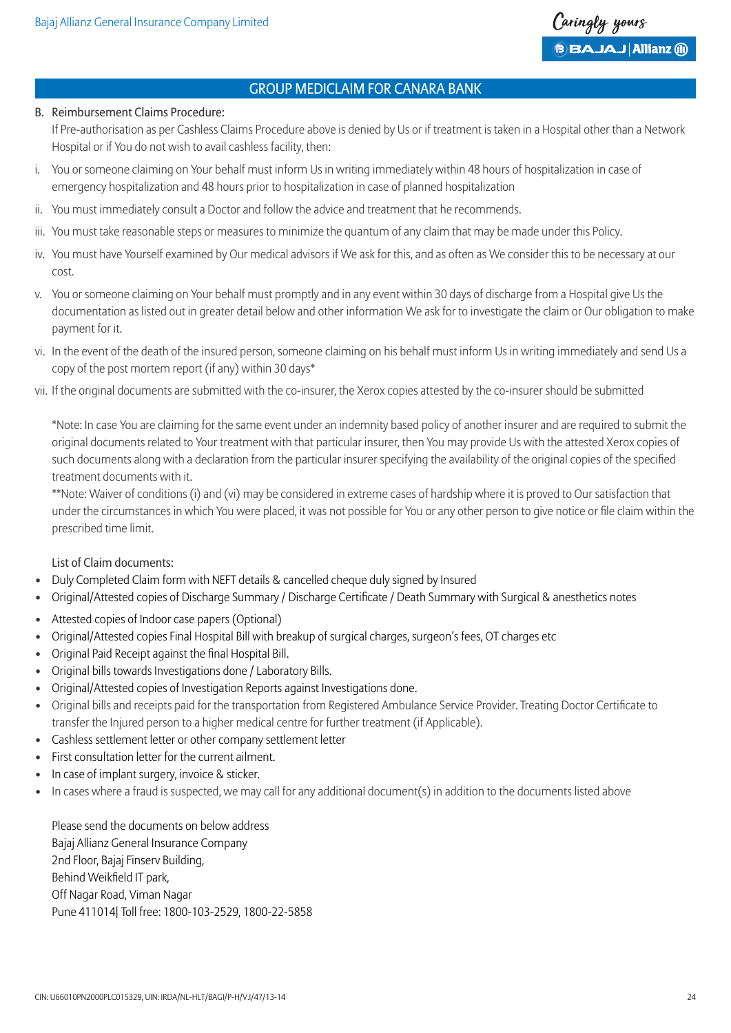

#### B. Reimbursement Claims Procedure:

 If Pre-authorisation as per Cashless Claims Procedure above is denied by Us or if treatment is taken in a Hospital other than a Network Hospital or if You do not wish to avail cashless facility, then:

- i. You or someone claiming on Your behalf must inform Us in writing immediately within 48 hours of hospitalization in case of emergency hospitalization and 48 hours prior to hospitalization in case of planned hospitalization
- ii. You must immediately consult a Doctor and follow the advice and treatment that he recommends.
- iii. You must take reasonable steps or measures to minimize the quantum of any claim that may be made under this Policy.
- iv. You must have Yourself examined by Our medical advisors if We ask for this, and as often as We consider this to be necessary at our cost.
- v. You or someone claiming on Your behalf must promptly and in any event within 30 days of discharge from a Hospital give Us the documentation as listed out in greater detail below and other information We ask for to investigate the claim or Our obligation to make payment for it.
- vi. In the event of the death of the insured person, someone claiming on his behalf must inform Us in writing immediately and send Us a copy of the post mortem report (if any) within 30 days\*
- vii. If the original documents are submitted with the co-insurer, the Xerox copies attested by the co-insurer should be submitted

 \*Note: In case You are claiming for the same event under an indemnity based policy of another insurer and are required to submit the original documents related to Your treatment with that particular insurer, then You may provide Us with the attested Xerox copies of such documents along with a declaration from the particular insurer specifying the availability of the original copies of the specified treatment documents with it.

 \*\*Note: Waiver of conditions (i) and (vi) may be considered in extreme cases of hardship where it is proved to Our satisfaction that under the circumstances in which You were placed, it was not possible for You or any other person to give notice or file claim within the prescribed time limit.

List of Claim documents:

- Duly Completed Claim form with NEFT details & cancelled cheque duly signed by Insured
- Original/Attested copies of Discharge Summary / Discharge Certificate / Death Summary with Surgical & anesthetics notes
- Attested copies of Indoor case papers (Optional)
- Original/Attested copies Final Hospital Bill with breakup of surgical charges, surgeon's fees, OT charges etc
- Original Paid Receipt against the final Hospital Bill.
- Original bills towards Investigations done / Laboratory Bills.
- Original/Attested copies of Investigation Reports against Investigations done.
- Original bills and receipts paid for the transportation from Registered Ambulance Service Provider. Treating Doctor Certificate to transfer the Injured person to a higher medical centre for further treatment (if Applicable).
- Cashless settlement letter or other company settlement letter
- First consultation letter for the current ailment.
- In case of implant surgery, invoice & sticker.
- In cases where a fraud is suspected, we may call for any additional document(s) in addition to the documents listed above

 Please send the documents on below address Bajaj Allianz General Insurance Company 2nd Floor, Bajaj Finserv Building, Behind Weikfield IT park, Off Nagar Road, Viman Nagar Pune 411014| Toll free: 1800-103-2529, 1800-22-5858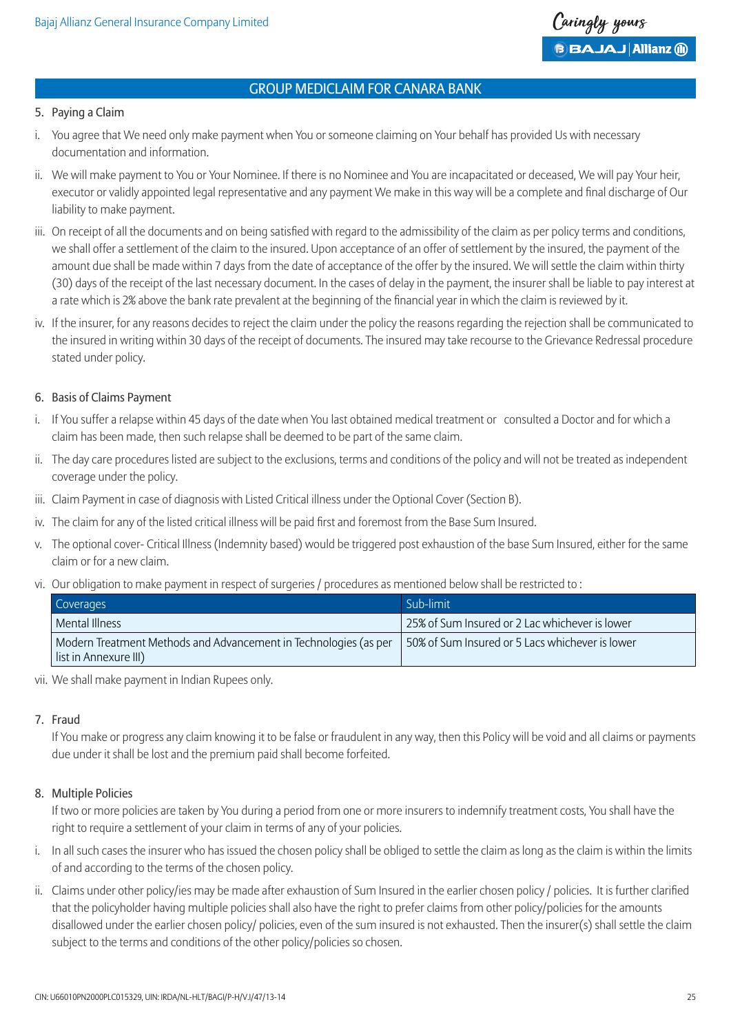

#### 5. Paying a Claim

- i. You agree that We need only make payment when You or someone claiming on Your behalf has provided Us with necessary documentation and information.
- ii. We will make payment to You or Your Nominee. If there is no Nominee and You are incapacitated or deceased, We will pay Your heir, executor or validly appointed legal representative and any payment We make in this way will be a complete and final discharge of Our liability to make payment.
- iii. On receipt of all the documents and on being satisfied with regard to the admissibility of the claim as per policy terms and conditions, we shall offer a settlement of the claim to the insured. Upon acceptance of an offer of settlement by the insured, the payment of the amount due shall be made within 7 days from the date of acceptance of the offer by the insured. We will settle the claim within thirty (30) days of the receipt of the last necessary document. In the cases of delay in the payment, the insurer shall be liable to pay interest at a rate which is 2% above the bank rate prevalent at the beginning of the financial year in which the claim is reviewed by it.
- iv. If the insurer, for any reasons decides to reject the claim under the policy the reasons regarding the rejection shall be communicated to the insured in writing within 30 days of the receipt of documents. The insured may take recourse to the Grievance Redressal procedure stated under policy.

#### 6. Basis of Claims Payment

- i. If You suffer a relapse within 45 days of the date when You last obtained medical treatment or consulted a Doctor and for which a claim has been made, then such relapse shall be deemed to be part of the same claim.
- ii. The day care procedures listed are subject to the exclusions, terms and conditions of the policy and will not be treated as independent coverage under the policy.
- iii. Claim Payment in case of diagnosis with Listed Critical illness under the Optional Cover (Section B).
- iv. The claim for any of the listed critical illness will be paid first and foremost from the Base Sum Insured.
- v. The optional cover- Critical Illness (Indemnity based) would be triggered post exhaustion of the base Sum Insured, either for the same claim or for a new claim.
- vi. Our obligation to make payment in respect of surgeries / procedures as mentioned below shall be restricted to :

| Coverages             |                                                                  | Sub-limit                                       |
|-----------------------|------------------------------------------------------------------|-------------------------------------------------|
| Mental Illness        |                                                                  | 25% of Sum Insured or 2 Lac whichever is lower  |
| list in Annexure III) | Modern Treatment Methods and Advancement in Technologies (as per | 50% of Sum Insured or 5 Lacs whichever is lower |

vii. We shall make payment in Indian Rupees only.

#### 7. Fraud

 If You make or progress any claim knowing it to be false or fraudulent in any way, then this Policy will be void and all claims or payments due under it shall be lost and the premium paid shall become forfeited.

#### 8. Multiple Policies

 If two or more policies are taken by You during a period from one or more insurers to indemnify treatment costs, You shall have the right to require a settlement of your claim in terms of any of your policies.

- i. In all such cases the insurer who has issued the chosen policy shall be obliged to settle the claim as long as the claim is within the limits of and according to the terms of the chosen policy.
- ii. Claims under other policy/ies may be made after exhaustion of Sum Insured in the earlier chosen policy / policies. It is further clarified that the policyholder having multiple policies shall also have the right to prefer claims from other policy/policies for the amounts disallowed under the earlier chosen policy/ policies, even of the sum insured is not exhausted. Then the insurer(s) shall settle the claim subject to the terms and conditions of the other policy/policies so chosen.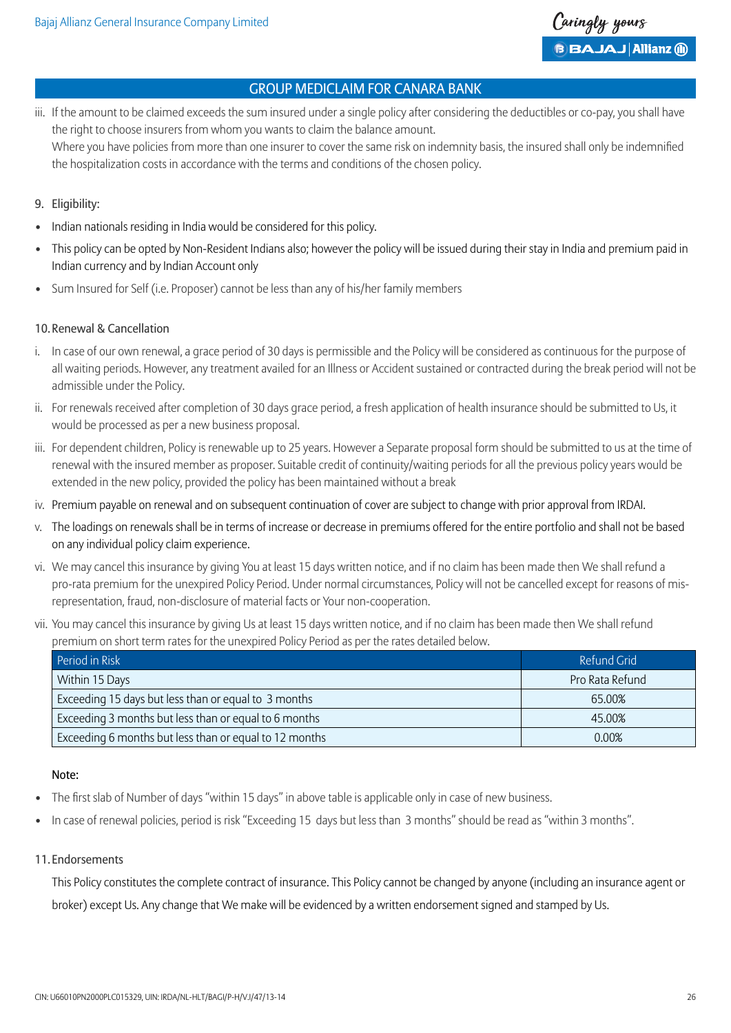- iii. If the amount to be claimed exceeds the sum insured under a single policy after considering the deductibles or co-pay, you shall have the right to choose insurers from whom you wants to claim the balance amount. Where you have policies from more than one insurer to cover the same risk on indemnity basis, the insured shall only be indemnified the hospitalization costs in accordance with the terms and conditions of the chosen policy.
- 9. Eligibility:
- Indian nationals residing in India would be considered for this policy.
- This policy can be opted by Non-Resident Indians also; however the policy will be issued during their stay in India and premium paid in Indian currency and by Indian Account only
- Sum Insured for Self (i.e. Proposer) cannot be less than any of his/her family members

#### 10.Renewal & Cancellation

- i. In case of our own renewal, a grace period of 30 days is permissible and the Policy will be considered as continuous for the purpose of all waiting periods. However, any treatment availed for an Illness or Accident sustained or contracted during the break period will not be admissible under the Policy.
- ii. For renewals received after completion of 30 days grace period, a fresh application of health insurance should be submitted to Us, it would be processed as per a new business proposal.
- iii. For dependent children, Policy is renewable up to 25 years. However a Separate proposal form should be submitted to us at the time of renewal with the insured member as proposer. Suitable credit of continuity/waiting periods for all the previous policy years would be extended in the new policy, provided the policy has been maintained without a break
- iv. Premium payable on renewal and on subsequent continuation of cover are subject to change with prior approval from IRDAI.
- v. The loadings on renewals shall be in terms of increase or decrease in premiums offered for the entire portfolio and shall not be based on any individual policy claim experience.
- vi. We may cancel this insurance by giving You at least 15 days written notice, and if no claim has been made then We shall refund a pro-rata premium for the unexpired Policy Period. Under normal circumstances, Policy will not be cancelled except for reasons of misrepresentation, fraud, non-disclosure of material facts or Your non-cooperation.
- vii. You may cancel this insurance by giving Us at least 15 days written notice, and if no claim has been made then We shall refund premium on short term rates for the unexpired Policy Period as per the rates detailed below.

| Period in Risk                                         | Refund Grid     |
|--------------------------------------------------------|-----------------|
| Within 15 Days                                         | Pro Rata Refund |
| Exceeding 15 days but less than or equal to 3 months   | 65.00%          |
| Exceeding 3 months but less than or equal to 6 months  | 45.00%          |
| Exceeding 6 months but less than or equal to 12 months | 0.00%           |

#### Note:

- The first slab of Number of days "within 15 days" in above table is applicable only in case of new business.
- In case of renewal policies, period is risk "Exceeding 15 days but less than 3 months" should be read as "within 3 months".

#### 11. Endorsements

This Policy constitutes the complete contract of insurance. This Policy cannot be changed by anyone (including an insurance agent or broker) except Us. Any change that We make will be evidenced by a written endorsement signed and stamped by Us.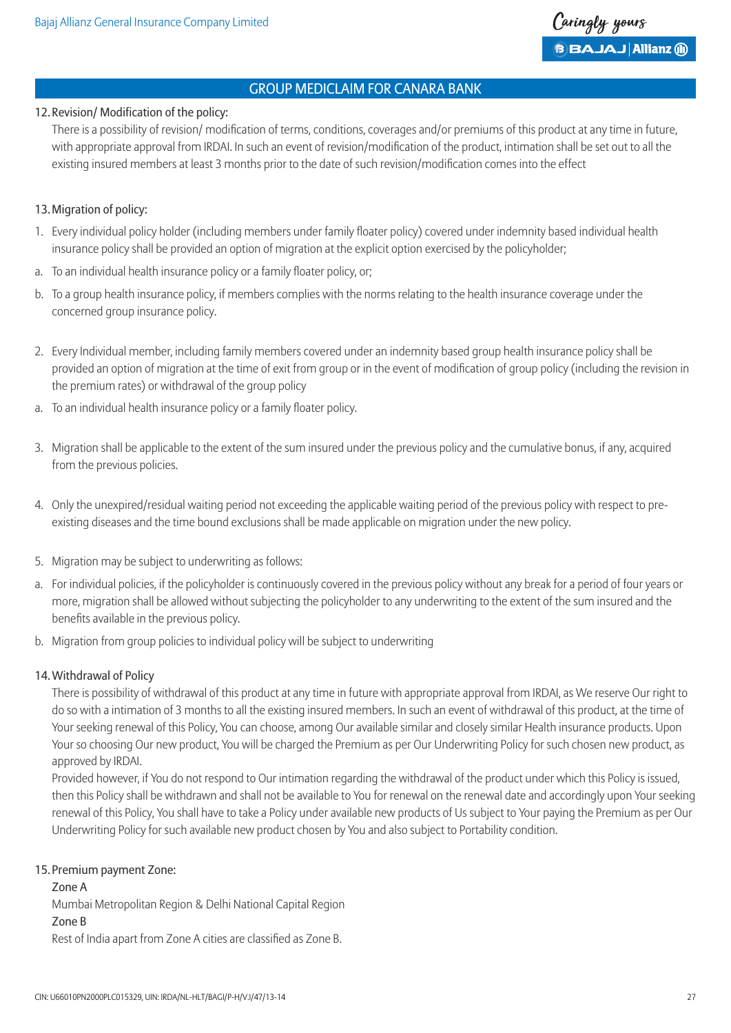### 12.Revision/ Modification of the policy:

 There is a possibility of revision/ modification of terms, conditions, coverages and/or premiums of this product at any time in future, with appropriate approval from IRDAI. In such an event of revision/modification of the product, intimation shall be set out to all the existing insured members at least 3 months prior to the date of such revision/modification comes into the effect

### 13.Migration of policy:

- 1. Every individual policy holder (including members under family floater policy) covered under indemnity based individual health insurance policy shall be provided an option of migration at the explicit option exercised by the policyholder;
- a. To an individual health insurance policy or a family floater policy, or;
- b. To a group health insurance policy, if members complies with the norms relating to the health insurance coverage under the concerned group insurance policy.
- 2. Every Individual member, including family members covered under an indemnity based group health insurance policy shall be provided an option of migration at the time of exit from group or in the event of modification of group policy (including the revision in the premium rates) or withdrawal of the group policy
- a. To an individual health insurance policy or a family floater policy.
- 3. Migration shall be applicable to the extent of the sum insured under the previous policy and the cumulative bonus, if any, acquired from the previous policies.
- 4. Only the unexpired/residual waiting period not exceeding the applicable waiting period of the previous policy with respect to preexisting diseases and the time bound exclusions shall be made applicable on migration under the new policy.
- 5. Migration may be subject to underwriting as follows:
- a. For individual policies, if the policyholder is continuously covered in the previous policy without any break for a period of four years or more, migration shall be allowed without subjecting the policyholder to any underwriting to the extent of the sum insured and the benefits available in the previous policy.
- b. Migration from group policies to individual policy will be subject to underwriting

#### 14. Withdrawal of Policy

 There is possibility of withdrawal of this product at any time in future with appropriate approval from IRDAI, as We reserve Our right to do so with a intimation of 3 months to all the existing insured members. In such an event of withdrawal of this product, at the time of Your seeking renewal of this Policy, You can choose, among Our available similar and closely similar Health insurance products. Upon Your so choosing Our new product, You will be charged the Premium as per Our Underwriting Policy for such chosen new product, as approved by IRDAI.

 Provided however, if You do not respond to Our intimation regarding the withdrawal of the product under which this Policy is issued, then this Policy shall be withdrawn and shall not be available to You for renewal on the renewal date and accordingly upon Your seeking renewal of this Policy, You shall have to take a Policy under available new products of Us subject to Your paying the Premium as per Our Underwriting Policy for such available new product chosen by You and also subject to Portability condition.

#### 15. Premium payment Zone:

 Zone A Mumbai Metropolitan Region & Delhi National Capital Region Zone B Rest of India apart from Zone A cities are classified as Zone B.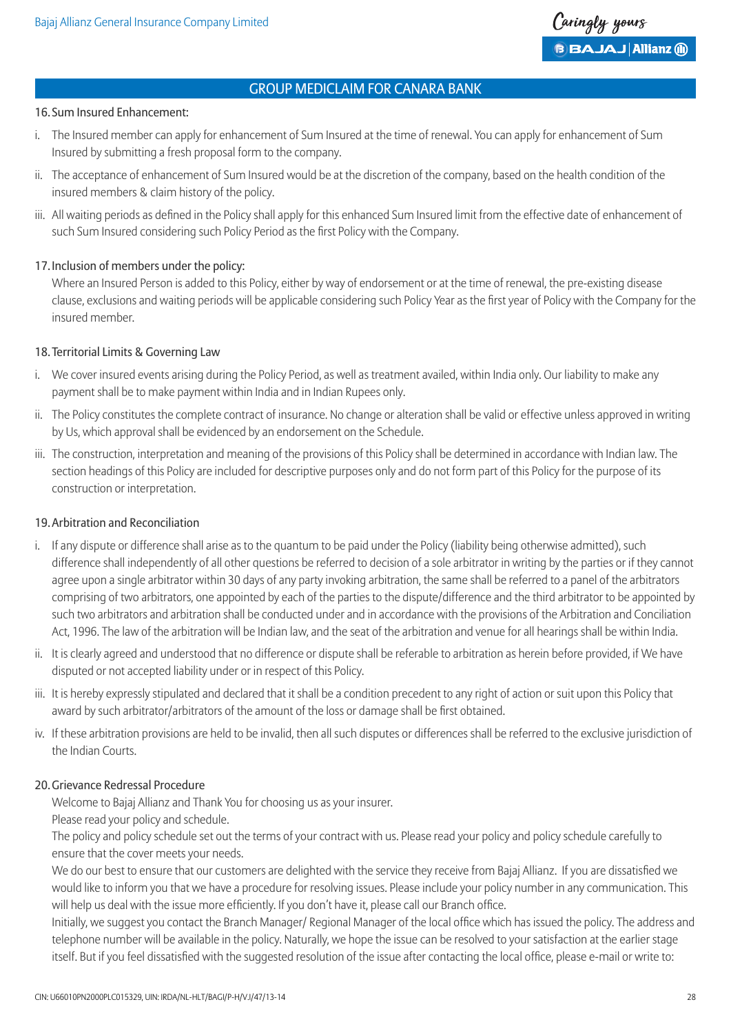#### 16. Sum Insured Enhancement:

- i. The Insured member can apply for enhancement of Sum Insured at the time of renewal. You can apply for enhancement of Sum Insured by submitting a fresh proposal form to the company.
- ii. The acceptance of enhancement of Sum Insured would be at the discretion of the company, based on the health condition of the insured members & claim history of the policy.
- iii. All waiting periods as defined in the Policy shall apply for this enhanced Sum Insured limit from the effective date of enhancement of such Sum Insured considering such Policy Period as the first Policy with the Company.

#### 17. Inclusion of members under the policy:

 Where an Insured Person is added to this Policy, either by way of endorsement or at the time of renewal, the pre-existing disease clause, exclusions and waiting periods will be applicable considering such Policy Year as the first year of Policy with the Company for the insured member.

### 18.Territorial Limits & Governing Law

- i. We cover insured events arising during the Policy Period, as well as treatment availed, within India only. Our liability to make any payment shall be to make payment within India and in Indian Rupees only.
- ii. The Policy constitutes the complete contract of insurance. No change or alteration shall be valid or effective unless approved in writing by Us, which approval shall be evidenced by an endorsement on the Schedule.
- iii. The construction, interpretation and meaning of the provisions of this Policy shall be determined in accordance with Indian law. The section headings of this Policy are included for descriptive purposes only and do not form part of this Policy for the purpose of its construction or interpretation.

#### 19.Arbitration and Reconciliation

- i. If any dispute or difference shall arise as to the quantum to be paid under the Policy (liability being otherwise admitted), such difference shall independently of all other questions be referred to decision of a sole arbitrator in writing by the parties or if they cannot agree upon a single arbitrator within 30 days of any party invoking arbitration, the same shall be referred to a panel of the arbitrators comprising of two arbitrators, one appointed by each of the parties to the dispute/difference and the third arbitrator to be appointed by such two arbitrators and arbitration shall be conducted under and in accordance with the provisions of the Arbitration and Conciliation Act, 1996. The law of the arbitration will be Indian law, and the seat of the arbitration and venue for all hearings shall be within India.
- ii. It is clearly agreed and understood that no difference or dispute shall be referable to arbitration as herein before provided, if We have disputed or not accepted liability under or in respect of this Policy.
- iii. It is hereby expressly stipulated and declared that it shall be a condition precedent to any right of action or suit upon this Policy that award by such arbitrator/arbitrators of the amount of the loss or damage shall be first obtained.
- iv. If these arbitration provisions are held to be invalid, then all such disputes or differences shall be referred to the exclusive jurisdiction of the Indian Courts.

#### 20.Grievance Redressal Procedure

Welcome to Bajaj Allianz and Thank You for choosing us as your insurer.

Please read your policy and schedule.

 The policy and policy schedule set out the terms of your contract with us. Please read your policy and policy schedule carefully to ensure that the cover meets your needs.

 We do our best to ensure that our customers are delighted with the service they receive from Bajaj Allianz. If you are dissatisfied we would like to inform you that we have a procedure for resolving issues. Please include your policy number in any communication. This will help us deal with the issue more efficiently. If you don't have it, please call our Branch office.

 Initially, we suggest you contact the Branch Manager/ Regional Manager of the local office which has issued the policy. The address and telephone number will be available in the policy. Naturally, we hope the issue can be resolved to your satisfaction at the earlier stage itself. But if you feel dissatisfied with the suggested resolution of the issue after contacting the local office, please e-mail or write to: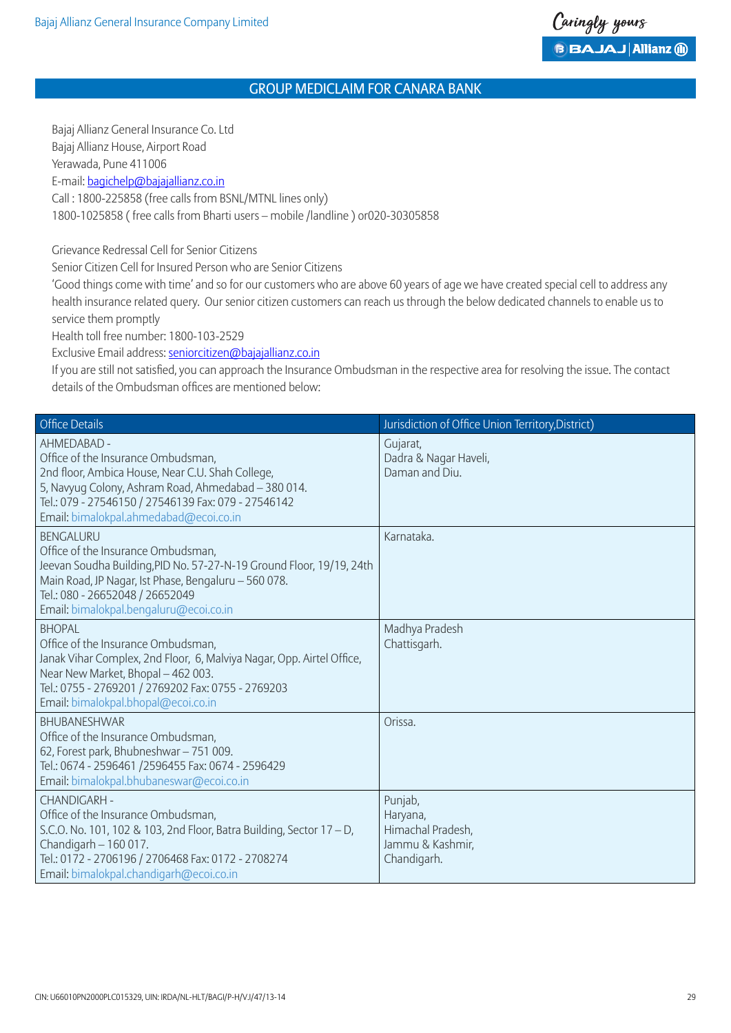Bajaj Allianz General Insurance Co. Ltd Bajaj Allianz House, Airport Road Yerawada, Pune 411006 E-mail: bagichelp@bajajallianz.co.in Call : 1800-225858 (free calls from BSNL/MTNL lines only)

1800-1025858 ( free calls from Bharti users – mobile /landline ) or020-30305858

Grievance Redressal Cell for Senior Citizens

Senior Citizen Cell for Insured Person who are Senior Citizens

 'Good things come with time' and so for our customers who are above 60 years of age we have created special cell to address any health insurance related query. Our senior citizen customers can reach us through the below dedicated channels to enable us to service them promptly

Health toll free number: 1800-103-2529

Exclusive Email address: seniorcitizen@bajajallianz.co.in

 If you are still not satisfied, you can approach the Insurance Ombudsman in the respective area for resolving the issue. The contact details of the Ombudsman offices are mentioned below:

| <b>Office Details</b>                                                                                                                                                                                                                                               | Jurisdiction of Office Union Territory, District)                           |
|---------------------------------------------------------------------------------------------------------------------------------------------------------------------------------------------------------------------------------------------------------------------|-----------------------------------------------------------------------------|
| AHMEDABAD -<br>Office of the Insurance Ombudsman,<br>2nd floor, Ambica House, Near C.U. Shah College,<br>5, Navyug Colony, Ashram Road, Ahmedabad - 380 014.<br>Tel.: 079 - 27546150 / 27546139 Fax: 079 - 27546142<br>Email: bimalokpal.ahmedabad@ecoi.co.in       | Gujarat,<br>Dadra & Nagar Haveli,<br>Daman and Diu.                         |
| <b>BENGALURU</b><br>Office of the Insurance Ombudsman,<br>Jeevan Soudha Building, PID No. 57-27-N-19 Ground Floor, 19/19, 24th<br>Main Road, JP Nagar, Ist Phase, Bengaluru - 560 078.<br>Tel.: 080 - 26652048 / 26652049<br>Email: bimalokpal.bengaluru@ecoi.co.in | Karnataka.                                                                  |
| <b>BHOPAL</b><br>Office of the Insurance Ombudsman,<br>Janak Vihar Complex, 2nd Floor, 6, Malviya Nagar, Opp. Airtel Office,<br>Near New Market, Bhopal - 462 003.<br>Tel.: 0755 - 2769201 / 2769202 Fax: 0755 - 2769203<br>Email: bimalokpal.bhopal@ecoi.co.in     | Madhya Pradesh<br>Chattisgarh.                                              |
| <b>BHUBANESHWAR</b><br>Office of the Insurance Ombudsman,<br>62, Forest park, Bhubneshwar - 751 009.<br>Tel.: 0674 - 2596461 /2596455 Fax: 0674 - 2596429<br>Email: bimalokpal.bhubaneswar@ecoi.co.in                                                               | Orissa.                                                                     |
| <b>CHANDIGARH -</b><br>Office of the Insurance Ombudsman,<br>S.C.O. No. 101, 102 & 103, 2nd Floor, Batra Building, Sector 17 - D,<br>Chandigarh - 160 017.<br>Tel.: 0172 - 2706196 / 2706468 Fax: 0172 - 2708274<br>Email: bimalokpal.chandigarh@ecoi.co.in         | Punjab,<br>Haryana,<br>Himachal Pradesh,<br>Jammu & Kashmir,<br>Chandigarh. |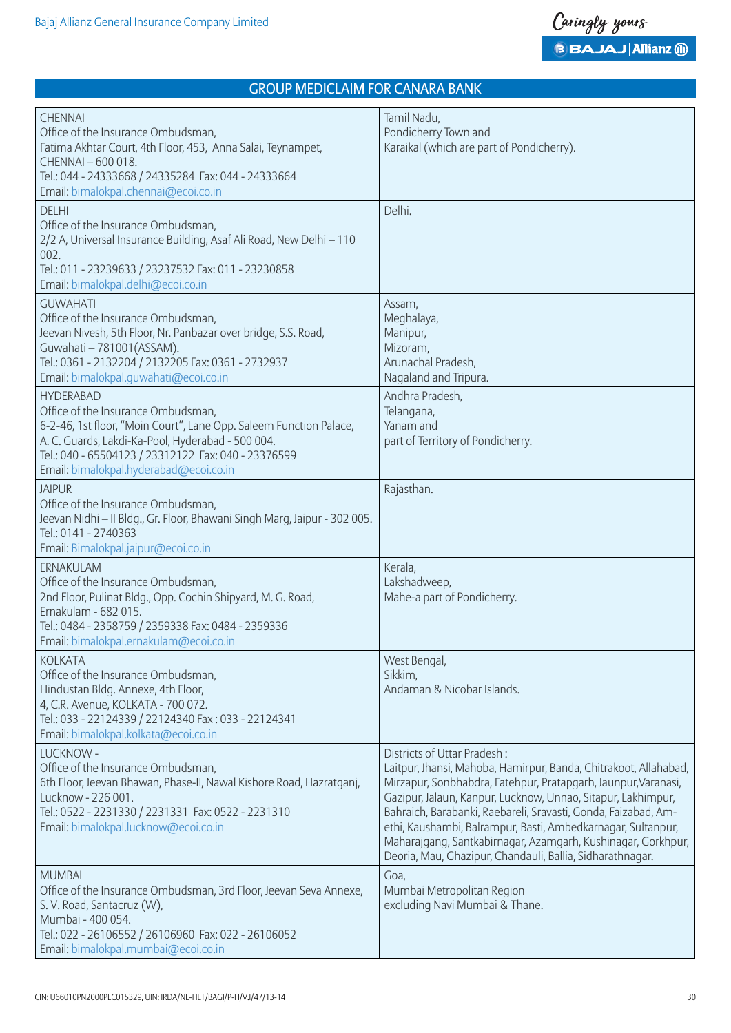| <b>CHENNAI</b><br>Office of the Insurance Ombudsman,<br>Fatima Akhtar Court, 4th Floor, 453, Anna Salai, Teynampet,<br>CHENNAI - 600 018.<br>Tel.: 044 - 24333668 / 24335284 Fax: 044 - 24333664<br>Email: bimalokpal.chennai@ecoi.co.in                                           | Tamil Nadu,<br>Pondicherry Town and<br>Karaikal (which are part of Pondicherry).                                                                                                                                                                                                                                                                                                                                                                                                                 |
|------------------------------------------------------------------------------------------------------------------------------------------------------------------------------------------------------------------------------------------------------------------------------------|--------------------------------------------------------------------------------------------------------------------------------------------------------------------------------------------------------------------------------------------------------------------------------------------------------------------------------------------------------------------------------------------------------------------------------------------------------------------------------------------------|
| <b>DELHI</b><br>Office of the Insurance Ombudsman,<br>2/2 A, Universal Insurance Building, Asaf Ali Road, New Delhi - 110<br>002.<br>Tel.: 011 - 23239633 / 23237532 Fax: 011 - 23230858<br>Email: bimalokpal.delhi@ecoi.co.in                                                     | Delhi.                                                                                                                                                                                                                                                                                                                                                                                                                                                                                           |
| <b>GUWAHATI</b><br>Office of the Insurance Ombudsman,<br>Jeevan Nivesh, 5th Floor, Nr. Panbazar over bridge, S.S. Road,<br>Guwahati - 781001 (ASSAM).<br>Tel.: 0361 - 2132204 / 2132205 Fax: 0361 - 2732937<br>Email: bimalokpal.quwahati@ecoi.co.in                               | Assam,<br>Meghalaya,<br>Manipur,<br>Mizoram,<br>Arunachal Pradesh,<br>Nagaland and Tripura.                                                                                                                                                                                                                                                                                                                                                                                                      |
| <b>HYDERABAD</b><br>Office of the Insurance Ombudsman,<br>6-2-46, 1st floor, "Moin Court", Lane Opp. Saleem Function Palace,<br>A. C. Guards, Lakdi-Ka-Pool, Hyderabad - 500 004.<br>Tel.: 040 - 65504123 / 23312122 Fax: 040 - 23376599<br>Email: bimalokpal.hyderabad@ecoi.co.in | Andhra Pradesh,<br>Telangana,<br>Yanam and<br>part of Territory of Pondicherry.                                                                                                                                                                                                                                                                                                                                                                                                                  |
| <b>JAIPUR</b><br>Office of the Insurance Ombudsman,<br>Jeevan Nidhi - II Bldg., Gr. Floor, Bhawani Singh Marg, Jaipur - 302 005.<br>Tel.: 0141 - 2740363<br>Email: Bimalokpal.jaipur@ecoi.co.in                                                                                    | Rajasthan.                                                                                                                                                                                                                                                                                                                                                                                                                                                                                       |
| ERNAKULAM<br>Office of the Insurance Ombudsman,<br>2nd Floor, Pulinat Bldg., Opp. Cochin Shipyard, M. G. Road,<br>Ernakulam - 682 015.<br>Tel.: 0484 - 2358759 / 2359338 Fax: 0484 - 2359336<br>Email: bimalokpal.ernakulam@ecoi.co.in                                             | Kerala,<br>Lakshadweep,<br>Mahe-a part of Pondicherry.                                                                                                                                                                                                                                                                                                                                                                                                                                           |
| <b>KOLKATA</b><br>Office of the Insurance Ombudsman,<br>Hindustan Bldg. Annexe, 4th Floor,<br>4, C.R. Avenue, KOLKATA - 700 072.<br>Tel.: 033 - 22124339 / 22124340 Fax: 033 - 22124341<br>Email: bimalokpal.kolkata@ecoi.co.in                                                    | West Bengal,<br>Sikkim,<br>Andaman & Nicobar Islands.                                                                                                                                                                                                                                                                                                                                                                                                                                            |
| LUCKNOW -<br>Office of the Insurance Ombudsman,<br>6th Floor, Jeevan Bhawan, Phase-II, Nawal Kishore Road, Hazratganj,<br>Lucknow - 226 001.<br>Tel.: 0522 - 2231330 / 2231331 Fax: 0522 - 2231310<br>Email: bimalokpal.lucknow@ecoi.co.in                                         | Districts of Uttar Pradesh:<br>Laitpur, Jhansi, Mahoba, Hamirpur, Banda, Chitrakoot, Allahabad,<br>Mirzapur, Sonbhabdra, Fatehpur, Pratapgarh, Jaunpur, Varanasi,<br>Gazipur, Jalaun, Kanpur, Lucknow, Unnao, Sitapur, Lakhimpur,<br>Bahraich, Barabanki, Raebareli, Sravasti, Gonda, Faizabad, Am-<br>ethi, Kaushambi, Balrampur, Basti, Ambedkarnagar, Sultanpur,<br>Maharajgang, Santkabirnagar, Azamgarh, Kushinagar, Gorkhpur,<br>Deoria, Mau, Ghazipur, Chandauli, Ballia, Sidharathnagar. |
| <b>MUMBAI</b><br>Office of the Insurance Ombudsman, 3rd Floor, Jeevan Seva Annexe,<br>S. V. Road, Santacruz (W),<br>Mumbai - 400 054.<br>Tel.: 022 - 26106552 / 26106960 Fax: 022 - 26106052<br>Email: bimalokpal.mumbai@ecoi.co.in                                                | Goa,<br>Mumbai Metropolitan Region<br>excluding Navi Mumbai & Thane.                                                                                                                                                                                                                                                                                                                                                                                                                             |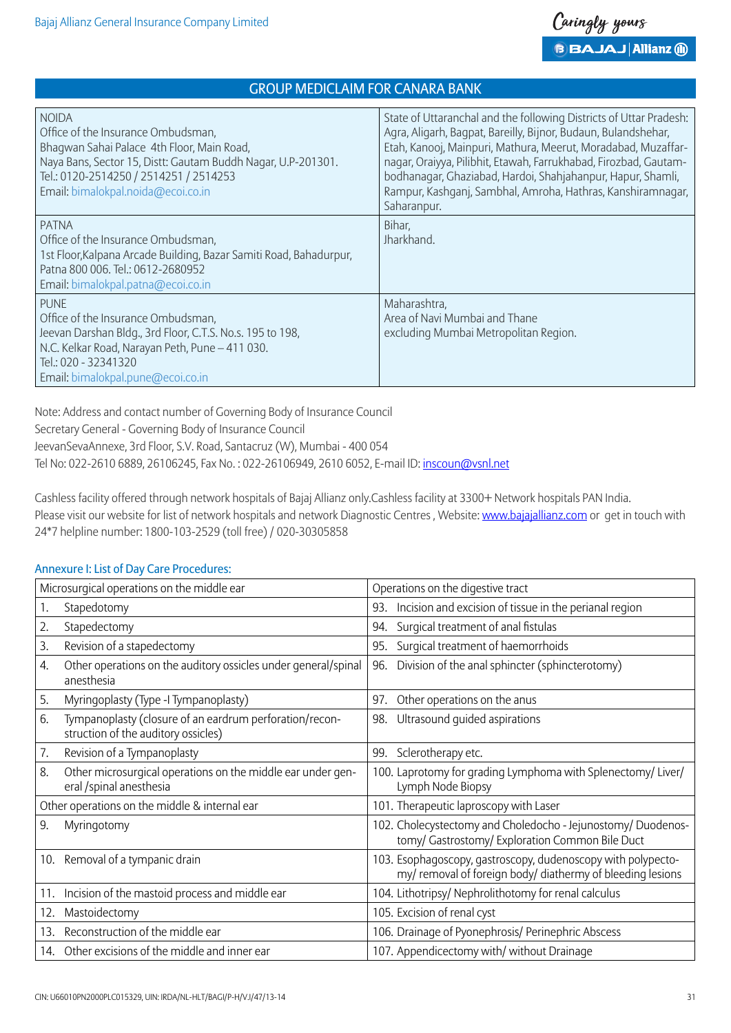| <b>NOIDA</b><br>Office of the Insurance Ombudsman,<br>Bhagwan Sahai Palace 4th Floor, Main Road,<br>Naya Bans, Sector 15, Distt: Gautam Buddh Nagar, U.P-201301.<br>Tel.: 0120-2514250 / 2514251 / 2514253<br>Email: bimalokpal.noida@ecoi.co.in | State of Uttaranchal and the following Districts of Uttar Pradesh:<br>Agra, Aligarh, Bagpat, Bareilly, Bijnor, Budaun, Bulandshehar,<br>Etah, Kanooj, Mainpuri, Mathura, Meerut, Moradabad, Muzaffar-<br>nagar, Oraiyya, Pilibhit, Etawah, Farrukhabad, Firozbad, Gautam-<br>bodhanagar, Ghaziabad, Hardoi, Shahjahanpur, Hapur, Shamli,<br>Rampur, Kashqanj, Sambhal, Amroha, Hathras, Kanshiramnaqar,<br>Saharanpur. |
|--------------------------------------------------------------------------------------------------------------------------------------------------------------------------------------------------------------------------------------------------|------------------------------------------------------------------------------------------------------------------------------------------------------------------------------------------------------------------------------------------------------------------------------------------------------------------------------------------------------------------------------------------------------------------------|
| <b>PATNA</b><br>Office of the Insurance Ombudsman,<br>1st Floor, Kalpana Arcade Building, Bazar Samiti Road, Bahadurpur,<br>Patna 800 006. Tel.: 0612-2680952<br>Email: bimalokpal.patna@ecoi.co.in                                              | Bihar,<br>Jharkhand.                                                                                                                                                                                                                                                                                                                                                                                                   |
| <b>PUNE</b><br>Office of the Insurance Ombudsman,<br>Jeevan Darshan Bldg., 3rd Floor, C.T.S. No.s. 195 to 198,<br>N.C. Kelkar Road, Narayan Peth, Pune - 411 030.<br>Tel.: 020 - 32341320<br>Email: bimalokpal.pune@ecoi.co.in                   | Maharashtra,<br>Area of Navi Mumbai and Thane<br>excluding Mumbai Metropolitan Region.                                                                                                                                                                                                                                                                                                                                 |

Note: Address and contact number of Governing Body of Insurance Council

Secretary General - Governing Body of Insurance Council

JeevanSevaAnnexe, 3rd Floor, S.V. Road, Santacruz (W), Mumbai - 400 054

Tel No: 022-2610 6889, 26106245, Fax No. : 022-26106949, 2610 6052, E-mail ID: inscoun@vsnl.net

Cashless facility offered through network hospitals of Bajaj Allianz only.Cashless facility at 3300+ Network hospitals PAN India. Please visit our website for list of network hospitals and network Diagnostic Centres , Website: www.bajajallianz.com or get in touch with 24\*7 helpline number: 1800-103-2529 (toll free) / 020-30305858

### Microsurgical operations on the middle ear  $\Box$  Operations on the digestive tract 1. Stapedotomy 1. Stapedotomy 1. Stapedotomy 1. Stapedotomy 1. Stapedotomy 1. Stapedotomy 1. Stapedotomy 1. Stapedotomy 1. Stapedotomy 1. Stapedotomy 1. Stapedotomy 1. Stapedotomy 1. Stapedotomy 1. Stapedotomy 1. Stapedoto 2. Stapedectomy 2. Stapedectomy and the state of anal fistulas 3. Revision of a stapedectomy 95. Surgical treatment of haemorrhoids 4. Other operations on the auditory ossicles under general/spinal anesthesia 96. Division of the anal sphincter (sphincterotomy) 5. Myringoplasty (Type -I Tympanoplasty) 97. Other operations on the anus 6. Tympanoplasty (closure of an eardrum perforation/reconstruction of the auditory ossicles) 98. Ultrasound guided aspirations 7. Revision of a Tympanoplasty **199.** Sclerotherapy etc. 8. Other microsurgical operations on the middle ear under general /spinal anesthesia 100. Laprotomy for grading Lymphoma with Splenectomy/ Liver/ Lymph Node Biopsy Other operations on the middle & internal ear 101. Therapeutic laproscopy with Laser 9. Myringotomy 102. Cholecystectomy and Choledocho - Jejunostomy/ Duodenostomy/ Gastrostomy/ Exploration Common Bile Duct 10. Removal of a tympanic drain 103. Esophagoscopy, gastroscopy, dudenoscopy with polypectomy/ removal of foreign body/ diathermy of bleeding lesions 11. Incision of the mastoid process and middle ear 104. Lithotripsy/ Nephrolithotomy for renal calculus 12. Mastoidectomy 105. Excision of renal cyst 13. Reconstruction of the middle ear 106. Drainage of Pyonephrosis/ Perinephric Abscess 14. Other excisions of the middle and inner ear 107. Appendicectomy with/ without Drainage

# Annexure I: List of Day Care Procedures: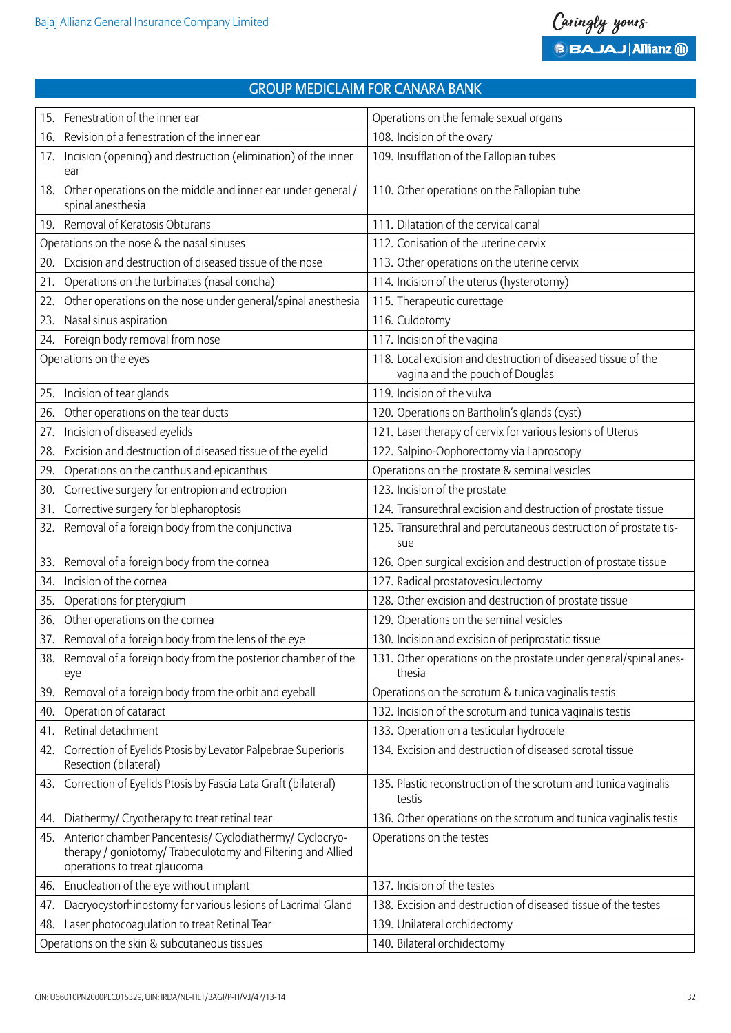| 15. | Fenestration of the inner ear                                                                                                                               | Operations on the female sexual organs                                                           |
|-----|-------------------------------------------------------------------------------------------------------------------------------------------------------------|--------------------------------------------------------------------------------------------------|
| 16. | Revision of a fenestration of the inner ear                                                                                                                 | 108. Incision of the ovary                                                                       |
| 17. | Incision (opening) and destruction (elimination) of the inner                                                                                               | 109. Insufflation of the Fallopian tubes                                                         |
|     | ear                                                                                                                                                         |                                                                                                  |
| 18. | Other operations on the middle and inner ear under general /<br>spinal anesthesia                                                                           | 110. Other operations on the Fallopian tube                                                      |
|     | 19. Removal of Keratosis Obturans                                                                                                                           | 111. Dilatation of the cervical canal                                                            |
|     | Operations on the nose & the nasal sinuses                                                                                                                  | 112. Conisation of the uterine cervix                                                            |
| 20. | Excision and destruction of diseased tissue of the nose                                                                                                     | 113. Other operations on the uterine cervix                                                      |
| 21. | Operations on the turbinates (nasal concha)                                                                                                                 | 114. Incision of the uterus (hysterotomy)                                                        |
| 22. | Other operations on the nose under general/spinal anesthesia                                                                                                | 115. Therapeutic curettage                                                                       |
| 23. | Nasal sinus aspiration                                                                                                                                      | 116. Culdotomy                                                                                   |
| 24. | Foreign body removal from nose                                                                                                                              | 117. Incision of the vagina                                                                      |
|     | Operations on the eyes                                                                                                                                      | 118. Local excision and destruction of diseased tissue of the<br>vagina and the pouch of Douglas |
| 25. | Incision of tear glands                                                                                                                                     | 119. Incision of the vulva                                                                       |
| 26. | Other operations on the tear ducts                                                                                                                          | 120. Operations on Bartholin's glands (cyst)                                                     |
| 27. | Incision of diseased eyelids                                                                                                                                | 121. Laser therapy of cervix for various lesions of Uterus                                       |
| 28. | Excision and destruction of diseased tissue of the eyelid                                                                                                   | 122. Salpino-Oophorectomy via Laproscopy                                                         |
| 29. | Operations on the canthus and epicanthus                                                                                                                    | Operations on the prostate & seminal vesicles                                                    |
| 30. | Corrective surgery for entropion and ectropion                                                                                                              | 123. Incision of the prostate                                                                    |
| 31. | Corrective surgery for blepharoptosis                                                                                                                       | 124. Transurethral excision and destruction of prostate tissue                                   |
| 32. | Removal of a foreign body from the conjunctiva                                                                                                              | 125. Transurethral and percutaneous destruction of prostate tis-<br>sue                          |
| 33. | Removal of a foreign body from the cornea                                                                                                                   | 126. Open surgical excision and destruction of prostate tissue                                   |
| 34. | Incision of the cornea                                                                                                                                      | 127. Radical prostatovesiculectomy                                                               |
| 35. | Operations for pterygium                                                                                                                                    | 128. Other excision and destruction of prostate tissue                                           |
| 36. | Other operations on the cornea                                                                                                                              | 129. Operations on the seminal vesicles                                                          |
|     | 37. Removal of a foreign body from the lens of the eye                                                                                                      | 130. Incision and excision of periprostatic tissue                                               |
|     | 38. Removal of a foreign body from the posterior chamber of the<br>eye                                                                                      | 131. Other operations on the prostate under general/spinal anes-<br>thesia                       |
| 39. | Removal of a foreign body from the orbit and eyeball                                                                                                        | Operations on the scrotum & tunica vaginalis testis                                              |
| 40. | Operation of cataract                                                                                                                                       | 132. Incision of the scrotum and tunica vaginalis testis                                         |
| 41. | Retinal detachment                                                                                                                                          | 133. Operation on a testicular hydrocele                                                         |
| 42. | Correction of Eyelids Ptosis by Levator Palpebrae Superioris<br>Resection (bilateral)                                                                       | 134. Excision and destruction of diseased scrotal tissue                                         |
|     | 43. Correction of Eyelids Ptosis by Fascia Lata Graft (bilateral)                                                                                           | 135. Plastic reconstruction of the scrotum and tunica vaginalis<br>testis                        |
| 44. | Diathermy/ Cryotherapy to treat retinal tear                                                                                                                | 136. Other operations on the scrotum and tunica vaginalis testis                                 |
|     | 45. Anterior chamber Pancentesis/ Cyclodiathermy/ Cyclocryo-<br>therapy / goniotomy/ Trabeculotomy and Filtering and Allied<br>operations to treat glaucoma | Operations on the testes                                                                         |
| 46. | Enucleation of the eye without implant                                                                                                                      | 137. Incision of the testes                                                                      |
| 47. | Dacryocystorhinostomy for various lesions of Lacrimal Gland                                                                                                 | 138. Excision and destruction of diseased tissue of the testes                                   |
| 48. | Laser photocoagulation to treat Retinal Tear                                                                                                                | 139. Unilateral orchidectomy                                                                     |
|     | Operations on the skin & subcutaneous tissues                                                                                                               | 140. Bilateral orchidectomy                                                                      |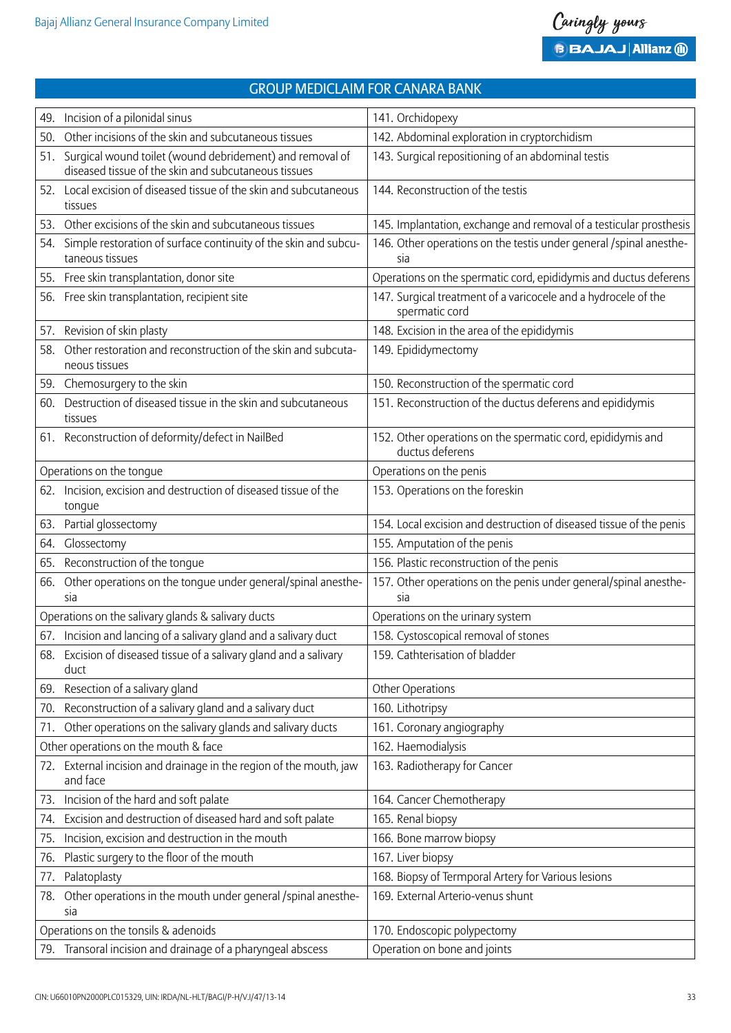| 49. | Incision of a pilonidal sinus                                                                                    | 141. Orchidopexy                                                                 |  |  |
|-----|------------------------------------------------------------------------------------------------------------------|----------------------------------------------------------------------------------|--|--|
| 50. | Other incisions of the skin and subcutaneous tissues                                                             | 142. Abdominal exploration in cryptorchidism                                     |  |  |
| 51. | Surgical wound toilet (wound debridement) and removal of<br>diseased tissue of the skin and subcutaneous tissues | 143. Surgical repositioning of an abdominal testis                               |  |  |
|     | 52. Local excision of diseased tissue of the skin and subcutaneous<br>tissues                                    | 144. Reconstruction of the testis                                                |  |  |
|     | 53. Other excisions of the skin and subcutaneous tissues                                                         | 145. Implantation, exchange and removal of a testicular prosthesis               |  |  |
| 54. | Simple restoration of surface continuity of the skin and subcu-<br>taneous tissues                               | 146. Other operations on the testis under general / spinal anesthe-<br>sia       |  |  |
|     | 55. Free skin transplantation, donor site                                                                        | Operations on the spermatic cord, epididymis and ductus deferens                 |  |  |
| 56. | Free skin transplantation, recipient site                                                                        | 147. Surgical treatment of a varicocele and a hydrocele of the<br>spermatic cord |  |  |
| 57. | Revision of skin plasty                                                                                          | 148. Excision in the area of the epididymis                                      |  |  |
| 58. | Other restoration and reconstruction of the skin and subcuta-<br>neous tissues                                   | 149. Epididymectomy                                                              |  |  |
|     | 59. Chemosurgery to the skin                                                                                     | 150. Reconstruction of the spermatic cord                                        |  |  |
|     | 60. Destruction of diseased tissue in the skin and subcutaneous<br>tissues                                       | 151. Reconstruction of the ductus deferens and epididymis                        |  |  |
|     | 61. Reconstruction of deformity/defect in NailBed                                                                | 152. Other operations on the spermatic cord, epididymis and<br>ductus deferens   |  |  |
|     | Operations on the tongue                                                                                         | Operations on the penis                                                          |  |  |
|     | 62. Incision, excision and destruction of diseased tissue of the<br>tongue                                       | 153. Operations on the foreskin                                                  |  |  |
|     | 63. Partial glossectomy                                                                                          | 154. Local excision and destruction of diseased tissue of the penis              |  |  |
| 64. | Glossectomy                                                                                                      | 155. Amputation of the penis                                                     |  |  |
| 65. | Reconstruction of the tongue                                                                                     | 156. Plastic reconstruction of the penis                                         |  |  |
| 66. | Other operations on the tongue under general/spinal anesthe-<br>sia                                              | 157. Other operations on the penis under general/spinal anesthe-<br>sia          |  |  |
|     | Operations on the salivary glands & salivary ducts                                                               | Operations on the urinary system                                                 |  |  |
|     | 67. Incision and lancing of a salivary gland and a salivary duct                                                 | 158. Cystoscopical removal of stones                                             |  |  |
|     | 68. Excision of diseased tissue of a salivary gland and a salivary<br>duct                                       | 159. Cathterisation of bladder                                                   |  |  |
|     | 69. Resection of a salivary gland                                                                                | Other Operations                                                                 |  |  |
| 70. | Reconstruction of a salivary gland and a salivary duct                                                           | 160. Lithotripsy                                                                 |  |  |
| 71. | Other operations on the salivary glands and salivary ducts                                                       | 161. Coronary angiography                                                        |  |  |
|     | Other operations on the mouth & face                                                                             | 162. Haemodialysis                                                               |  |  |
|     | 72. External incision and drainage in the region of the mouth, jaw<br>and face                                   | 163. Radiotherapy for Cancer                                                     |  |  |
|     | 73. Incision of the hard and soft palate                                                                         | 164. Cancer Chemotherapy                                                         |  |  |
| 74. | Excision and destruction of diseased hard and soft palate                                                        | 165. Renal biopsy                                                                |  |  |
| 75. | Incision, excision and destruction in the mouth                                                                  | 166. Bone marrow biopsy                                                          |  |  |
| 76. | Plastic surgery to the floor of the mouth                                                                        | 167. Liver biopsy                                                                |  |  |
| 77. | Palatoplasty                                                                                                     | 168. Biopsy of Termporal Artery for Various lesions                              |  |  |
| 78. | Other operations in the mouth under general /spinal anesthe-<br>sia                                              | 169. External Arterio-venus shunt                                                |  |  |
|     | Operations on the tonsils & adenoids                                                                             | 170. Endoscopic polypectomy                                                      |  |  |
| 79. | Transoral incision and drainage of a pharyngeal abscess                                                          | Operation on bone and joints                                                     |  |  |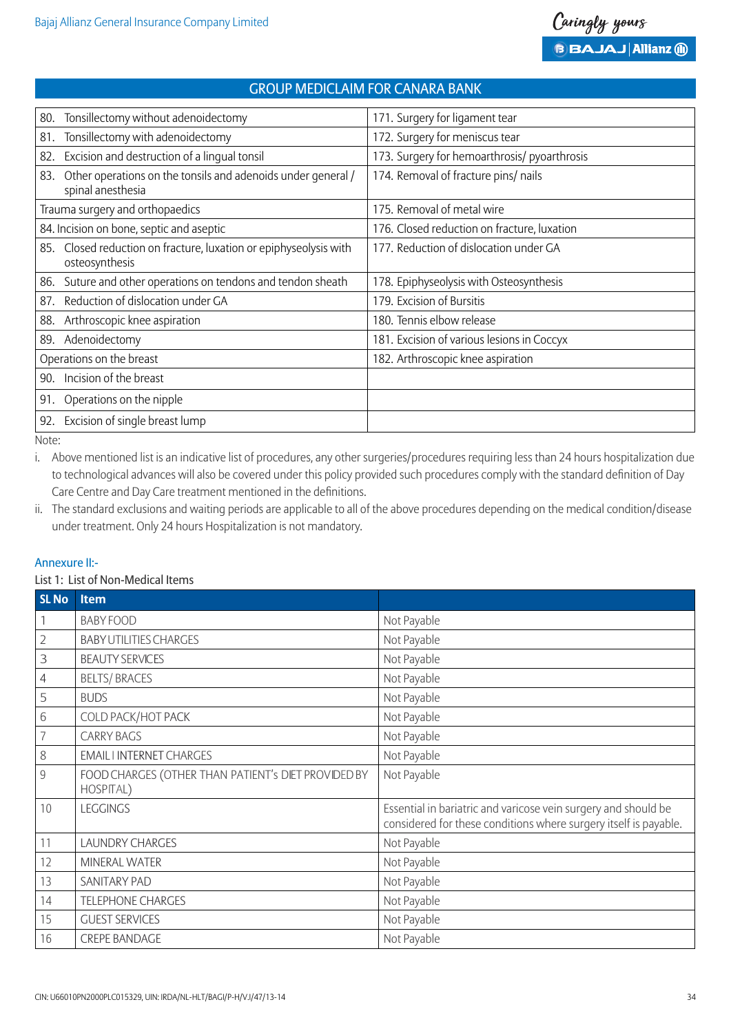| Tonsillectomy without adenoidectomy<br>80.                                               | 171. Surgery for ligament tear               |
|------------------------------------------------------------------------------------------|----------------------------------------------|
| Tonsillectomy with adenoidectomy<br>81.                                                  | 172. Surgery for meniscus tear               |
| Excision and destruction of a lingual tonsil<br>82.                                      | 173. Surgery for hemoarthrosis/ pyoarthrosis |
| Other operations on the tonsils and adenoids under general /<br>83.<br>spinal anesthesia | 174. Removal of fracture pins/ nails         |
| Trauma surgery and orthopaedics                                                          | 175. Removal of metal wire                   |
| 84. Incision on bone, septic and aseptic                                                 | 176. Closed reduction on fracture, luxation  |
| Closed reduction on fracture, luxation or epiphyseolysis with<br>85.<br>osteosynthesis   | 177. Reduction of dislocation under GA       |
| Suture and other operations on tendons and tendon sheath<br>86.                          | 178. Epiphyseolysis with Osteosynthesis      |
| Reduction of dislocation under GA<br>87.                                                 | 179. Excision of Bursitis                    |
| Arthroscopic knee aspiration<br>88.                                                      | 180. Tennis elbow release                    |
| Adenoidectomy<br>89.                                                                     | 181. Excision of various lesions in Coccyx   |
| Operations on the breast                                                                 | 182. Arthroscopic knee aspiration            |
| Incision of the breast<br>90.                                                            |                                              |
| Operations on the nipple<br>91.                                                          |                                              |
| Excision of single breast lump<br>92.                                                    |                                              |
|                                                                                          |                                              |

Note:

i. Above mentioned list is an indicative list of procedures, any other surgeries/procedures requiring less than 24 hours hospitalization due to technological advances will also be covered under this policy provided such procedures comply with the standard definition of Day Care Centre and Day Care treatment mentioned in the definitions.

ii. The standard exclusions and waiting periods are applicable to all of the above procedures depending on the medical condition/disease under treatment. Only 24 hours Hospitalization is not mandatory.

### Annexure II:-

#### List 1: List of Non-Medical Items

| <b>SL No</b>            | Item                                                             |                                                                                                                                    |
|-------------------------|------------------------------------------------------------------|------------------------------------------------------------------------------------------------------------------------------------|
| $\overline{\mathbb{1}}$ | <b>BABY FOOD</b>                                                 | Not Payable                                                                                                                        |
| $\overline{2}$          | <b>BABY UTILITIES CHARGES</b>                                    | Not Payable                                                                                                                        |
| 3                       | <b>BEAUTY SERVICES</b>                                           | Not Payable                                                                                                                        |
| $\overline{4}$          | <b>BELTS/BRACES</b>                                              | Not Payable                                                                                                                        |
| 5                       | <b>BUDS</b>                                                      | Not Payable                                                                                                                        |
| $6\,$                   | COLD PACK/HOT PACK                                               | Not Payable                                                                                                                        |
| $\overline{7}$          | <b>CARRY BAGS</b>                                                | Not Payable                                                                                                                        |
| $\,8\,$                 | <b>EMAIL I INTERNET CHARGES</b>                                  | Not Payable                                                                                                                        |
| $\overline{9}$          | FOOD CHARGES (OTHER THAN PATIENT's DIET PROVIDED BY<br>HOSPITAL) | Not Payable                                                                                                                        |
| 10                      | <b>LEGGINGS</b>                                                  | Essential in bariatric and varicose vein surgery and should be<br>considered for these conditions where surgery itself is payable. |
| 11                      | <b>LAUNDRY CHARGES</b>                                           | Not Payable                                                                                                                        |
| 12                      | MINERAL WATER                                                    | Not Payable                                                                                                                        |
| 13                      | SANITARY PAD                                                     | Not Payable                                                                                                                        |
| 14                      | <b>TELEPHONE CHARGES</b>                                         | Not Payable                                                                                                                        |
| 15                      | <b>GUEST SERVICES</b>                                            | Not Payable                                                                                                                        |
| 16                      | <b>CREPE BANDAGE</b>                                             | Not Payable                                                                                                                        |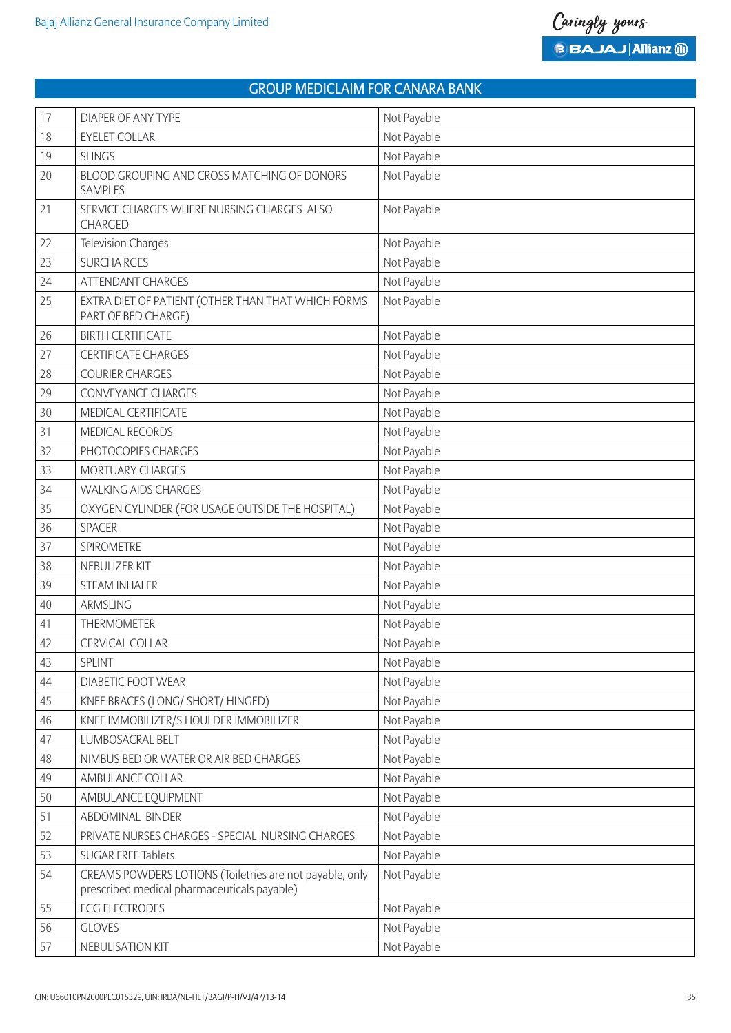| 17 | <b>DIAPER OF ANY TYPE</b>                                                                               | Not Payable |
|----|---------------------------------------------------------------------------------------------------------|-------------|
| 18 | <b>EYELET COLLAR</b>                                                                                    | Not Payable |
| 19 | <b>SLINGS</b>                                                                                           | Not Payable |
| 20 | BLOOD GROUPING AND CROSS MATCHING OF DONORS<br><b>SAMPLES</b>                                           | Not Payable |
| 21 | SERVICE CHARGES WHERE NURSING CHARGES ALSO<br>CHARGED                                                   | Not Payable |
| 22 | <b>Television Charges</b>                                                                               | Not Payable |
| 23 | <b>SURCHA RGES</b>                                                                                      | Not Payable |
| 24 | <b>ATTENDANT CHARGES</b>                                                                                | Not Payable |
| 25 | EXTRA DIET OF PATIENT (OTHER THAN THAT WHICH FORMS<br>PART OF BED CHARGE)                               | Not Payable |
| 26 | <b>BIRTH CERTIFICATE</b>                                                                                | Not Payable |
| 27 | <b>CERTIFICATE CHARGES</b>                                                                              | Not Payable |
| 28 | <b>COURIER CHARGES</b>                                                                                  | Not Payable |
| 29 | <b>CONVEYANCE CHARGES</b>                                                                               | Not Payable |
| 30 | MEDICAL CERTIFICATE                                                                                     | Not Payable |
| 31 | <b>MEDICAL RECORDS</b>                                                                                  | Not Payable |
| 32 | PHOTOCOPIES CHARGES                                                                                     | Not Payable |
| 33 | MORTUARY CHARGES                                                                                        | Not Payable |
| 34 | <b>WALKING AIDS CHARGES</b>                                                                             | Not Payable |
| 35 | OXYGEN CYLINDER (FOR USAGE OUTSIDE THE HOSPITAL)                                                        | Not Payable |
| 36 | <b>SPACER</b>                                                                                           | Not Payable |
| 37 | SPIROMETRE                                                                                              | Not Payable |
| 38 | NEBULIZER KIT                                                                                           | Not Payable |
| 39 | <b>STEAM INHALER</b>                                                                                    | Not Payable |
| 40 | ARMSLING                                                                                                | Not Payable |
| 41 | <b>THERMOMETER</b>                                                                                      | Not Payable |
| 42 | <b>CERVICAL COLLAR</b>                                                                                  | Not Payable |
| 43 | <b>SPLINT</b>                                                                                           | Not Payable |
| 44 | DIABETIC FOOT WEAR                                                                                      | Not Payable |
| 45 | KNEE BRACES (LONG/ SHORT/ HINGED)                                                                       | Not Payable |
| 46 | KNEE IMMOBILIZER/S HOULDER IMMOBILIZER                                                                  | Not Payable |
| 47 | LUMBOSACRAL BELT                                                                                        | Not Payable |
| 48 | NIMBUS BED OR WATER OR AIR BED CHARGES                                                                  | Not Payable |
| 49 | AMBULANCE COLLAR                                                                                        | Not Payable |
| 50 | AMBULANCE EQUIPMENT                                                                                     | Not Payable |
| 51 | ABDOMINAL BINDER                                                                                        | Not Payable |
| 52 | PRIVATE NURSES CHARGES - SPECIAL NURSING CHARGES                                                        | Not Payable |
| 53 | <b>SUGAR FREE Tablets</b>                                                                               | Not Payable |
| 54 | CREAMS POWDERS LOTIONS (Toiletries are not payable, only<br>prescribed medical pharmaceuticals payable) | Not Payable |
| 55 | <b>ECG ELECTRODES</b>                                                                                   | Not Payable |
| 56 | <b>GLOVES</b>                                                                                           | Not Payable |
| 57 | NEBULISATION KIT                                                                                        | Not Payable |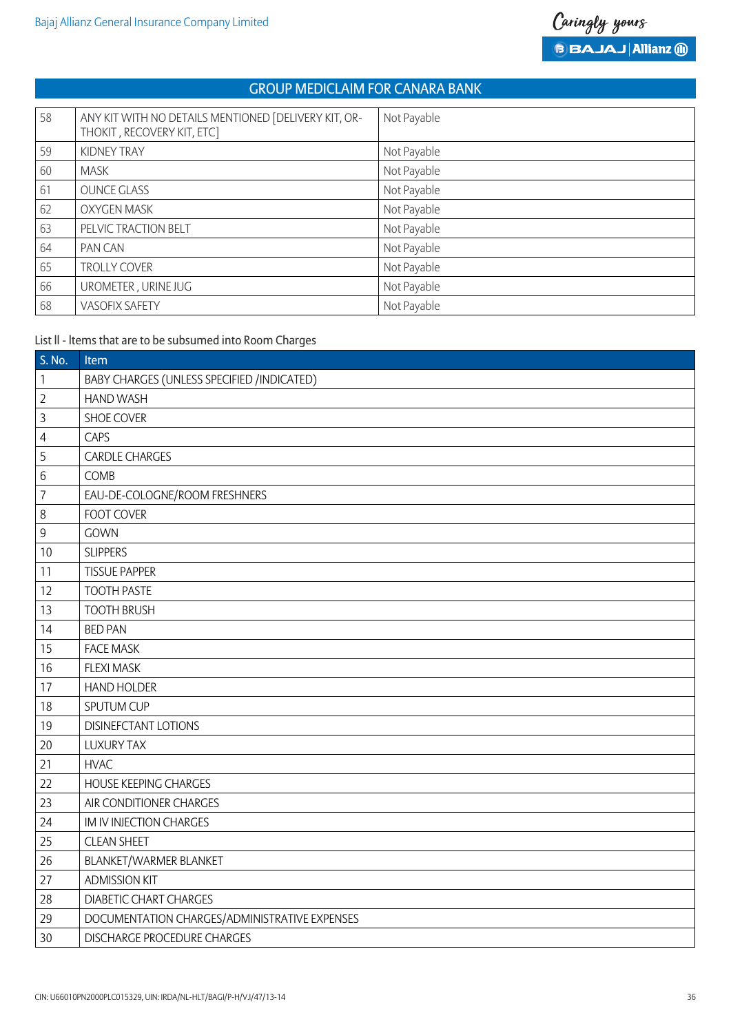| 58 | ANY KIT WITH NO DETAILS MENTIONED [DELIVERY KIT, OR-<br>THOKIT, RECOVERY KIT, ETC] | Not Payable |
|----|------------------------------------------------------------------------------------|-------------|
| 59 | KIDNEY TRAY                                                                        | Not Payable |
| 60 | <b>MASK</b>                                                                        | Not Payable |
| 61 | <b>OUNCE GLASS</b>                                                                 | Not Payable |
| 62 | <b>OXYGEN MASK</b>                                                                 | Not Payable |
| 63 | PELVIC TRACTION BELT                                                               | Not Payable |
| 64 | PAN CAN                                                                            | Not Payable |
| 65 | TROLLY COVER                                                                       | Not Payable |
| 66 | UROMETER, URINE JUG                                                                | Not Payable |
| 68 | <b>VASOFIX SAFETY</b>                                                              | Not Payable |

# List ll - ltems that are to be subsumed into Room Charges

| S. No.         | Item                                          |
|----------------|-----------------------------------------------|
| $\mathbf{1}$   | BABY CHARGES (UNLESS SPECIFIED /INDICATED)    |
| $\overline{2}$ | <b>HAND WASH</b>                              |
| $\overline{3}$ | SHOE COVER                                    |
| $\overline{4}$ | CAPS                                          |
| 5              | <b>CARDLE CHARGES</b>                         |
| $6\,$          | COMB                                          |
| $\overline{7}$ | EAU-DE-COLOGNE/ROOM FRESHNERS                 |
| $\,8\,$        | <b>FOOT COVER</b>                             |
| $\overline{9}$ | GOWN                                          |
| 10             | <b>SLIPPERS</b>                               |
| 11             | <b>TISSUE PAPPER</b>                          |
| 12             | <b>TOOTH PASTE</b>                            |
| 13             | <b>TOOTH BRUSH</b>                            |
| 14             | <b>BED PAN</b>                                |
| 15             | <b>FACE MASK</b>                              |
| 16             | <b>FLEXI MASK</b>                             |
| 17             | <b>HAND HOLDER</b>                            |
| 18             | SPUTUM CUP                                    |
| 19             | <b>DISINEFCTANT LOTIONS</b>                   |
| 20             | <b>LUXURY TAX</b>                             |
| 21             | <b>HVAC</b>                                   |
| 22             | <b>HOUSE KEEPING CHARGES</b>                  |
| 23             | AIR CONDITIONER CHARGES                       |
| 24             | IM IV INJECTION CHARGES                       |
| 25             | <b>CLEAN SHEET</b>                            |
| 26             | BLANKET/WARMER BLANKET                        |
| 27             | <b>ADMISSION KIT</b>                          |
| 28             | <b>DIABETIC CHART CHARGES</b>                 |
| 29             | DOCUMENTATION CHARGES/ADMINISTRATIVE EXPENSES |
| 30             | <b>DISCHARGE PROCEDURE CHARGES</b>            |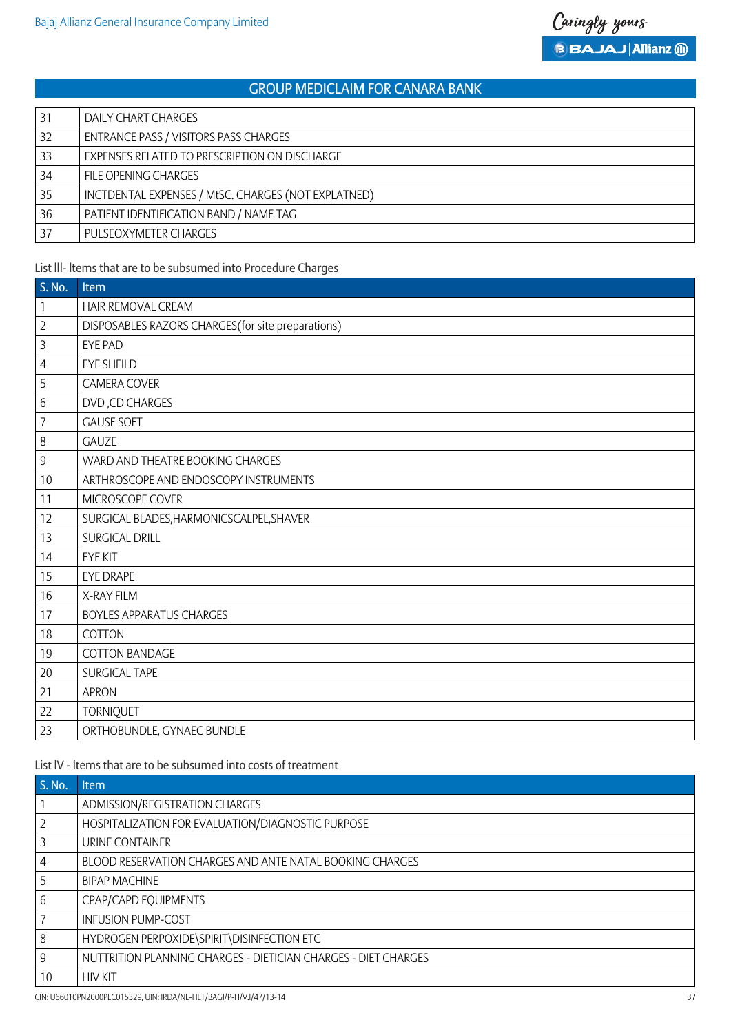| 31 | DAILY CHART CHARGES                                 |
|----|-----------------------------------------------------|
| 32 | ENTRANCE PASS / VISITORS PASS CHARGES               |
| 33 | EXPENSES RELATED TO PRESCRIPTION ON DISCHARGE       |
| 34 | FILE OPENING CHARGES                                |
| 35 | INCTDENTAL EXPENSES / MtSC. CHARGES (NOT EXPLATNED) |
| 36 | PATIENT IDENTIFICATION BAND / NAME TAG              |
| 37 | PULSEOXYMETER CHARGES                               |

# List lll- ltems that are to be subsumed into Procedure Charges

| S. No.           | <b>Item</b>                                        |
|------------------|----------------------------------------------------|
| $\mathbf{1}$     | HAIR REMOVAL CREAM                                 |
| $\overline{2}$   | DISPOSABLES RAZORS CHARGES (for site preparations) |
| $\overline{3}$   | <b>EYE PAD</b>                                     |
| $\overline{4}$   | <b>EYE SHEILD</b>                                  |
| 5                | <b>CAMERA COVER</b>                                |
| $\,6\,$          | DVD, CD CHARGES                                    |
| $\overline{7}$   | <b>GAUSE SOFT</b>                                  |
| $\,8\,$          | <b>GAUZE</b>                                       |
| $\boldsymbol{9}$ | WARD AND THEATRE BOOKING CHARGES                   |
| 10               | ARTHROSCOPE AND ENDOSCOPY INSTRUMENTS              |
| 11               | MICROSCOPE COVER                                   |
| 12               | SURGICAL BLADES, HARMONICSCALPEL, SHAVER           |
| 13               | <b>SURGICAL DRILL</b>                              |
| 14               | <b>EYE KIT</b>                                     |
| 15               | <b>EYE DRAPE</b>                                   |
| 16               | X-RAY FILM                                         |
| 17               | <b>BOYLES APPARATUS CHARGES</b>                    |
| 18               | COTTON                                             |
| 19               | <b>COTTON BANDAGE</b>                              |
| 20               | SURGICAL TAPE                                      |
| 21               | <b>APRON</b>                                       |
| 22               | <b>TORNIQUET</b>                                   |
| 23               | ORTHOBUNDLE, GYNAEC BUNDLE                         |

# List lV - ltems that are to be subsumed into costs of treatment

| S. No.         | <b>Item</b>                                                    |
|----------------|----------------------------------------------------------------|
|                | ADMISSION/REGISTRATION CHARGES                                 |
| $\overline{2}$ | HOSPITALIZATION FOR EVALUATION/DIAGNOSTIC PURPOSE              |
| 3              | URINE CONTAINER                                                |
| $\overline{4}$ | BLOOD RESERVATION CHARGES AND ANTE NATAL BOOKING CHARGES       |
| 5              | <b>BIPAP MACHINE</b>                                           |
| 6              | CPAP/CAPD EQUIPMENTS                                           |
| -7             | <b>INFUSION PUMP-COST</b>                                      |
| 8              | HYDROGEN PERPOXIDE\SPIRIT\DISINFECTION ETC                     |
| 9              | NUTTRITION PLANNING CHARGES - DIETICIAN CHARGES - DIET CHARGES |
| 10             | <b>HIV KIT</b>                                                 |